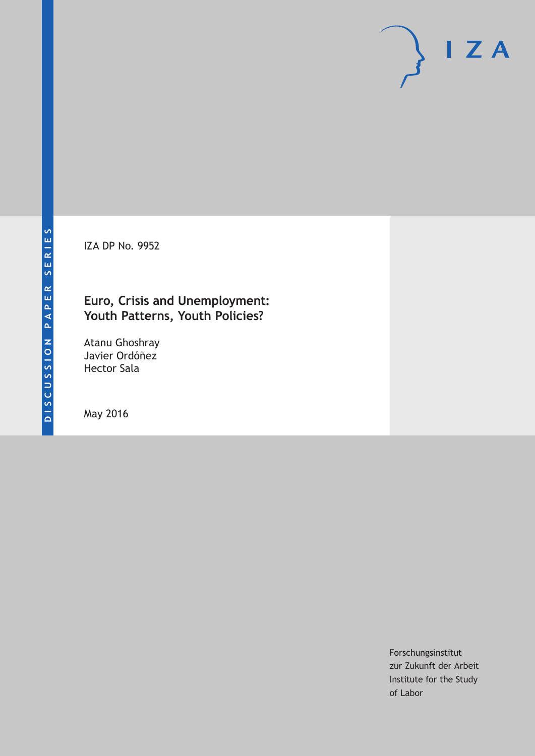IZA DP No. 9952

## **Euro, Crisis and Unemployment: Youth Patterns, Youth Policies?**

Atanu Ghoshray Javier Ordóñez Hector Sala

May 2016

Forschungsinstitut zur Zukunft der Arbeit Institute for the Study of Labor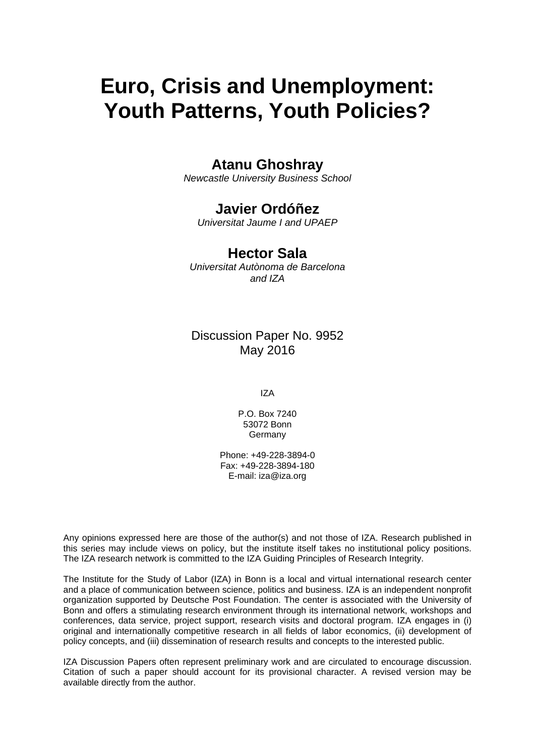# **Euro, Crisis and Unemployment: Youth Patterns, Youth Policies?**

### **Atanu Ghoshray**

*Newcastle University Business School* 

## **Javier Ordóñez**

*Universitat Jaume I and UPAEP* 

### **Hector Sala**

*Universitat Autònoma de Barcelona and IZA* 

### Discussion Paper No. 9952 May 2016

IZA

P.O. Box 7240 53072 Bonn Germany

Phone: +49-228-3894-0 Fax: +49-228-3894-180 E-mail: iza@iza.org

Any opinions expressed here are those of the author(s) and not those of IZA. Research published in this series may include views on policy, but the institute itself takes no institutional policy positions. The IZA research network is committed to the IZA Guiding Principles of Research Integrity.

The Institute for the Study of Labor (IZA) in Bonn is a local and virtual international research center and a place of communication between science, politics and business. IZA is an independent nonprofit organization supported by Deutsche Post Foundation. The center is associated with the University of Bonn and offers a stimulating research environment through its international network, workshops and conferences, data service, project support, research visits and doctoral program. IZA engages in (i) original and internationally competitive research in all fields of labor economics, (ii) development of policy concepts, and (iii) dissemination of research results and concepts to the interested public.

IZA Discussion Papers often represent preliminary work and are circulated to encourage discussion. Citation of such a paper should account for its provisional character. A revised version may be available directly from the author.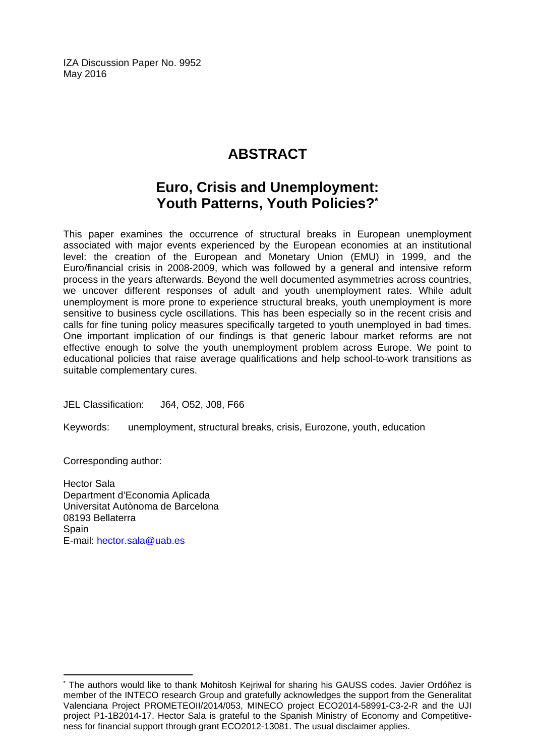IZA Discussion Paper No. 9952 May 2016

# **ABSTRACT**

# **Euro, Crisis and Unemployment: Youth Patterns, Youth Policies?\***

This paper examines the occurrence of structural breaks in European unemployment associated with major events experienced by the European economies at an institutional level: the creation of the European and Monetary Union (EMU) in 1999, and the Euro/financial crisis in 2008-2009, which was followed by a general and intensive reform process in the years afterwards. Beyond the well documented asymmetries across countries, we uncover different responses of adult and youth unemployment rates. While adult unemployment is more prone to experience structural breaks, youth unemployment is more sensitive to business cycle oscillations. This has been especially so in the recent crisis and calls for fine tuning policy measures specifically targeted to youth unemployed in bad times. One important implication of our findings is that generic labour market reforms are not effective enough to solve the youth unemployment problem across Europe. We point to educational policies that raise average qualifications and help school-to-work transitions as suitable complementary cures.

JEL Classification: J64, O52, J08, F66

Keywords: unemployment, structural breaks, crisis, Eurozone, youth, education

Corresponding author:

 $\overline{a}$ 

Hector Sala Department d'Economia Aplicada Universitat Autònoma de Barcelona 08193 Bellaterra **Spain** E-mail: hector.sala@uab.es

<sup>\*</sup> The authors would like to thank Mohitosh Kejriwal for sharing his GAUSS codes. Javier Ordóñez is member of the INTECO research Group and gratefully acknowledges the support from the Generalitat Valenciana Project PROMETEOII/2014/053, MINECO project ECO2014-58991-C3-2-R and the UJI project P1-1B2014-17. Hector Sala is grateful to the Spanish Ministry of Economy and Competitiveness for financial support through grant ECO2012-13081. The usual disclaimer applies.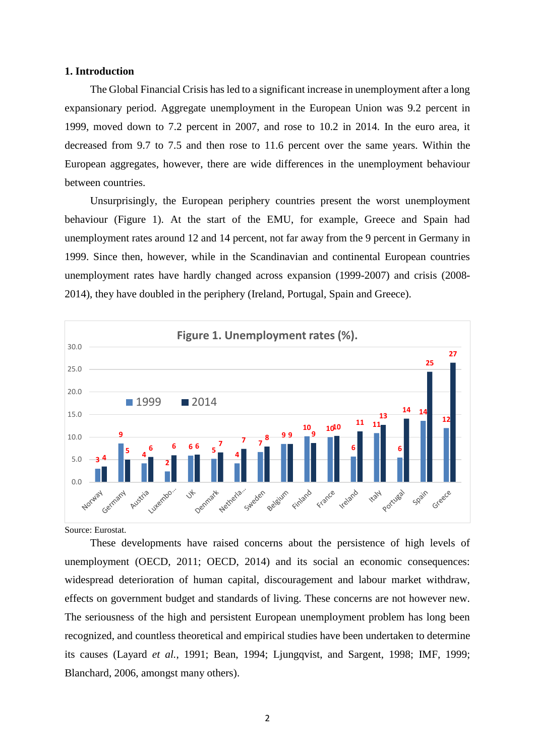#### **1. Introduction**

The Global Financial Crisis has led to a significant increase in unemployment after a long expansionary period. Aggregate unemployment in the European Union was 9.2 percent in 1999, moved down to 7.2 percent in 2007, and rose to 10.2 in 2014. In the euro area, it decreased from 9.7 to 7.5 and then rose to 11.6 percent over the same years. Within the European aggregates, however, there are wide differences in the unemployment behaviour between countries.

Unsurprisingly, the European periphery countries present the worst unemployment behaviour (Figure 1). At the start of the EMU, for example, Greece and Spain had unemployment rates around 12 and 14 percent, not far away from the 9 percent in Germany in 1999. Since then, however, while in the Scandinavian and continental European countries unemployment rates have hardly changed across expansion (1999-2007) and crisis (2008- 2014), they have doubled in the periphery (Ireland, Portugal, Spain and Greece).



Source: Eurostat.

These developments have raised concerns about the persistence of high levels of unemployment (OECD, 2011; OECD, 2014) and its social an economic consequences: widespread deterioration of human capital, discouragement and labour market withdraw, effects on government budget and standards of living. These concerns are not however new. The seriousness of the high and persistent European unemployment problem has long been recognized, and countless theoretical and empirical studies have been undertaken to determine its causes (Layard *et al.*, 1991; Bean, 1994; Ljungqvist, and Sargent, 1998; IMF, 1999; Blanchard, 2006, amongst many others).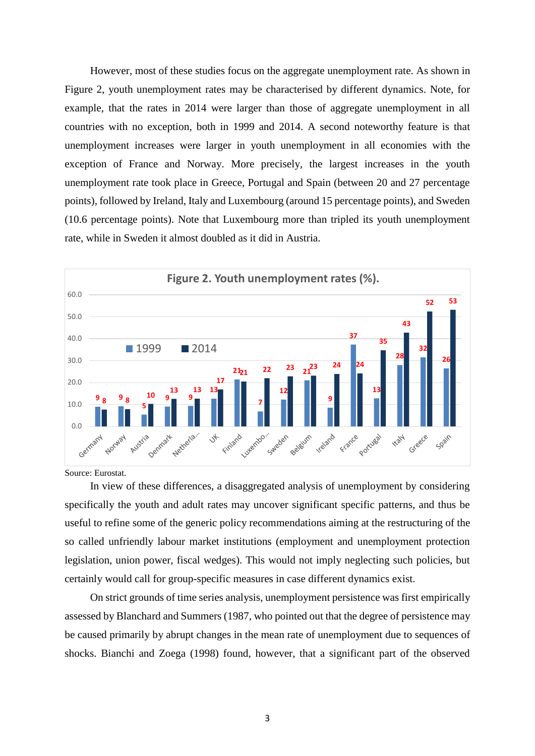However, most of these studies focus on the aggregate unemployment rate. As shown in Figure 2, youth unemployment rates may be characterised by different dynamics. Note, for example, that the rates in 2014 were larger than those of aggregate unemployment in all countries with no exception, both in 1999 and 2014. A second noteworthy feature is that unemployment increases were larger in youth unemployment in all economies with the exception of France and Norway. More precisely, the largest increases in the youth unemployment rate took place in Greece, Portugal and Spain (between 20 and 27 percentage points), followed by Ireland, Italy and Luxembourg (around 15 percentage points), and Sweden (10.6 percentage points). Note that Luxembourg more than tripled its youth unemployment rate, while in Sweden it almost doubled as it did in Austria.



Source: Eurostat.

In view of these differences, a disaggregated analysis of unemployment by considering specifically the youth and adult rates may uncover significant specific patterns, and thus be useful to refine some of the generic policy recommendations aiming at the restructuring of the so called unfriendly labour market institutions (employment and unemployment protection legislation, union power, fiscal wedges). This would not imply neglecting such policies, but certainly would call for group-specific measures in case different dynamics exist.

On strict grounds of time series analysis, unemployment persistence was first empirically assessed by Blanchard and Summers (1987, who pointed out that the degree of persistence may be caused primarily by abrupt changes in the mean rate of unemployment due to sequences of shocks. Bianchi and Zoega (1998) found, however, that a significant part of the observed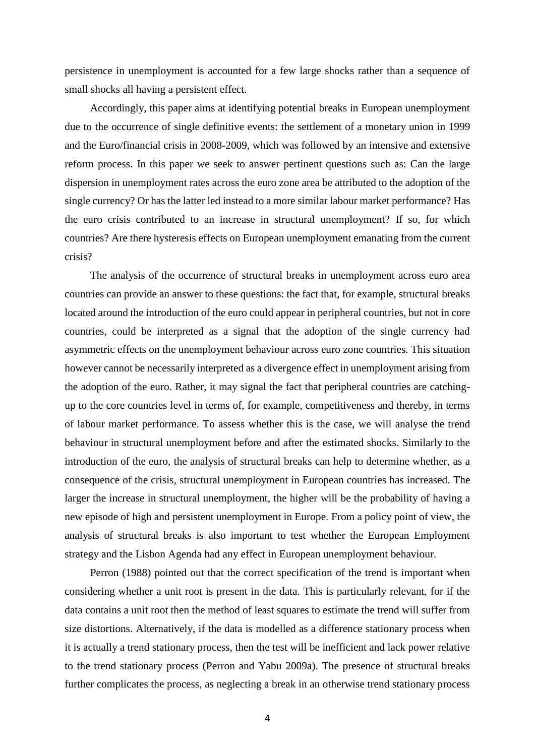persistence in unemployment is accounted for a few large shocks rather than a sequence of small shocks all having a persistent effect.

Accordingly, this paper aims at identifying potential breaks in European unemployment due to the occurrence of single definitive events: the settlement of a monetary union in 1999 and the Euro/financial crisis in 2008-2009, which was followed by an intensive and extensive reform process. In this paper we seek to answer pertinent questions such as: Can the large dispersion in unemployment rates across the euro zone area be attributed to the adoption of the single currency? Or has the latter led instead to a more similar labour market performance? Has the euro crisis contributed to an increase in structural unemployment? If so, for which countries? Are there hysteresis effects on European unemployment emanating from the current crisis?

The analysis of the occurrence of structural breaks in unemployment across euro area countries can provide an answer to these questions: the fact that, for example, structural breaks located around the introduction of the euro could appear in peripheral countries, but not in core countries, could be interpreted as a signal that the adoption of the single currency had asymmetric effects on the unemployment behaviour across euro zone countries. This situation however cannot be necessarily interpreted as a divergence effect in unemployment arising from the adoption of the euro. Rather, it may signal the fact that peripheral countries are catchingup to the core countries level in terms of, for example, competitiveness and thereby, in terms of labour market performance. To assess whether this is the case, we will analyse the trend behaviour in structural unemployment before and after the estimated shocks. Similarly to the introduction of the euro, the analysis of structural breaks can help to determine whether, as a consequence of the crisis, structural unemployment in European countries has increased. The larger the increase in structural unemployment, the higher will be the probability of having a new episode of high and persistent unemployment in Europe. From a policy point of view, the analysis of structural breaks is also important to test whether the European Employment strategy and the Lisbon Agenda had any effect in European unemployment behaviour.

Perron (1988) pointed out that the correct specification of the trend is important when considering whether a unit root is present in the data. This is particularly relevant, for if the data contains a unit root then the method of least squares to estimate the trend will suffer from size distortions. Alternatively, if the data is modelled as a difference stationary process when it is actually a trend stationary process, then the test will be inefficient and lack power relative to the trend stationary process (Perron and Yabu 2009a). The presence of structural breaks further complicates the process, as neglecting a break in an otherwise trend stationary process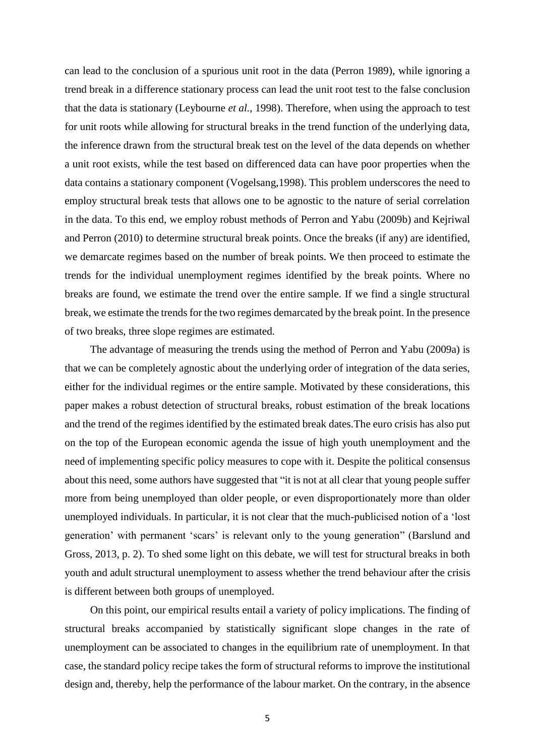can lead to the conclusion of a spurious unit root in the data (Perron 1989), while ignoring a trend break in a difference stationary process can lead the unit root test to the false conclusion that the data is stationary (Leybourne *et al.*, 1998). Therefore, when using the approach to test for unit roots while allowing for structural breaks in the trend function of the underlying data, the inference drawn from the structural break test on the level of the data depends on whether a unit root exists, while the test based on differenced data can have poor properties when the data contains a stationary component (Vogelsang,1998). This problem underscores the need to employ structural break tests that allows one to be agnostic to the nature of serial correlation in the data. To this end, we employ robust methods of Perron and Yabu (2009b) and Kejriwal and Perron (2010) to determine structural break points. Once the breaks (if any) are identified, we demarcate regimes based on the number of break points. We then proceed to estimate the trends for the individual unemployment regimes identified by the break points. Where no breaks are found, we estimate the trend over the entire sample. If we find a single structural break, we estimate the trends for the two regimes demarcated by the break point. In the presence of two breaks, three slope regimes are estimated.

The advantage of measuring the trends using the method of Perron and Yabu (2009a) is that we can be completely agnostic about the underlying order of integration of the data series, either for the individual regimes or the entire sample. Motivated by these considerations, this paper makes a robust detection of structural breaks, robust estimation of the break locations and the trend of the regimes identified by the estimated break dates.The euro crisis has also put on the top of the European economic agenda the issue of high youth unemployment and the need of implementing specific policy measures to cope with it. Despite the political consensus about this need, some authors have suggested that "it is not at all clear that young people suffer more from being unemployed than older people, or even disproportionately more than older unemployed individuals. In particular, it is not clear that the much-publicised notion of a 'lost generation' with permanent 'scars' is relevant only to the young generation" (Barslund and Gross, 2013, p. 2). To shed some light on this debate, we will test for structural breaks in both youth and adult structural unemployment to assess whether the trend behaviour after the crisis is different between both groups of unemployed.

On this point, our empirical results entail a variety of policy implications. The finding of structural breaks accompanied by statistically significant slope changes in the rate of unemployment can be associated to changes in the equilibrium rate of unemployment. In that case, the standard policy recipe takes the form of structural reforms to improve the institutional design and, thereby, help the performance of the labour market. On the contrary, in the absence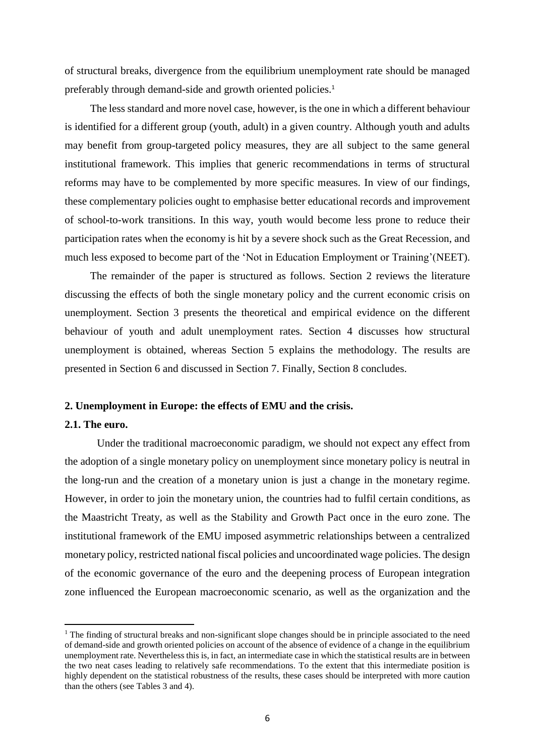of structural breaks, divergence from the equilibrium unemployment rate should be managed preferably through demand-side and growth oriented policies.<sup>1</sup>

The less standard and more novel case, however, is the one in which a different behaviour is identified for a different group (youth, adult) in a given country. Although youth and adults may benefit from group-targeted policy measures, they are all subject to the same general institutional framework. This implies that generic recommendations in terms of structural reforms may have to be complemented by more specific measures. In view of our findings, these complementary policies ought to emphasise better educational records and improvement of school-to-work transitions. In this way, youth would become less prone to reduce their participation rates when the economy is hit by a severe shock such as the Great Recession, and much less exposed to become part of the 'Not in Education Employment or Training'(NEET).

The remainder of the paper is structured as follows. Section 2 reviews the literature discussing the effects of both the single monetary policy and the current economic crisis on unemployment. Section 3 presents the theoretical and empirical evidence on the different behaviour of youth and adult unemployment rates. Section 4 discusses how structural unemployment is obtained, whereas Section 5 explains the methodology. The results are presented in Section 6 and discussed in Section 7. Finally, Section 8 concludes.

#### **2. Unemployment in Europe: the effects of EMU and the crisis.**

#### **2.1. The euro.**

1

Under the traditional macroeconomic paradigm, we should not expect any effect from the adoption of a single monetary policy on unemployment since monetary policy is neutral in the long-run and the creation of a monetary union is just a change in the monetary regime. However, in order to join the monetary union, the countries had to fulfil certain conditions, as the Maastricht Treaty, as well as the Stability and Growth Pact once in the euro zone. The institutional framework of the EMU imposed asymmetric relationships between a centralized monetary policy, restricted national fiscal policies and uncoordinated wage policies. The design of the economic governance of the euro and the deepening process of European integration zone influenced the European macroeconomic scenario, as well as the organization and the

 $1$  The finding of structural breaks and non-significant slope changes should be in principle associated to the need of demand-side and growth oriented policies on account of the absence of evidence of a change in the equilibrium unemployment rate. Nevertheless this is, in fact, an intermediate case in which the statistical results are in between the two neat cases leading to relatively safe recommendations. To the extent that this intermediate position is highly dependent on the statistical robustness of the results, these cases should be interpreted with more caution than the others (see Tables 3 and 4).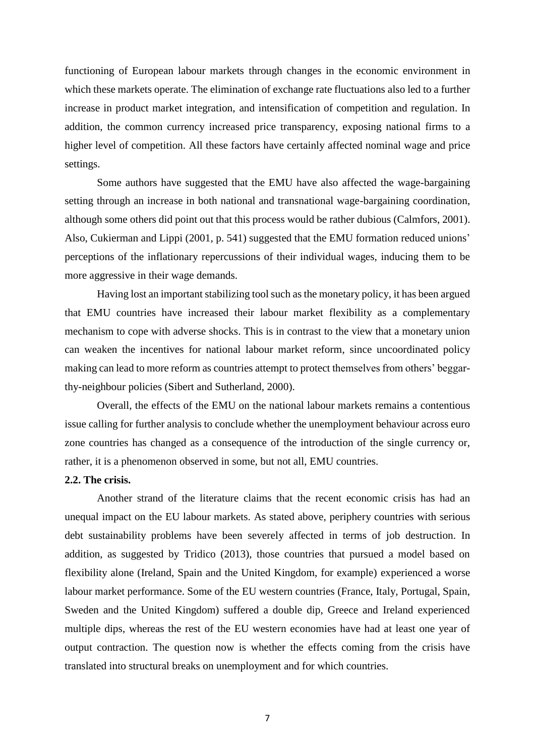functioning of European labour markets through changes in the economic environment in which these markets operate. The elimination of exchange rate fluctuations also led to a further increase in product market integration, and intensification of competition and regulation. In addition, the common currency increased price transparency, exposing national firms to a higher level of competition. All these factors have certainly affected nominal wage and price settings.

Some authors have suggested that the EMU have also affected the wage-bargaining setting through an increase in both national and transnational wage-bargaining coordination, although some others did point out that this process would be rather dubious (Calmfors, 2001). Also, Cukierman and Lippi (2001, p. 541) suggested that the EMU formation reduced unions' perceptions of the inflationary repercussions of their individual wages, inducing them to be more aggressive in their wage demands.

Having lost an important stabilizing tool such as the monetary policy, it has been argued that EMU countries have increased their labour market flexibility as a complementary mechanism to cope with adverse shocks. This is in contrast to the view that a monetary union can weaken the incentives for national labour market reform, since uncoordinated policy making can lead to more reform as countries attempt to protect themselves from others' beggarthy-neighbour policies (Sibert and Sutherland, 2000).

Overall, the effects of the EMU on the national labour markets remains a contentious issue calling for further analysis to conclude whether the unemployment behaviour across euro zone countries has changed as a consequence of the introduction of the single currency or, rather, it is a phenomenon observed in some, but not all, EMU countries.

#### **2.2. The crisis.**

Another strand of the literature claims that the recent economic crisis has had an unequal impact on the EU labour markets. As stated above, periphery countries with serious debt sustainability problems have been severely affected in terms of job destruction. In addition, as suggested by Tridico (2013), those countries that pursued a model based on flexibility alone (Ireland, Spain and the United Kingdom, for example) experienced a worse labour market performance. Some of the EU western countries (France, Italy, Portugal, Spain, Sweden and the United Kingdom) suffered a double dip, Greece and Ireland experienced multiple dips, whereas the rest of the EU western economies have had at least one year of output contraction. The question now is whether the effects coming from the crisis have translated into structural breaks on unemployment and for which countries.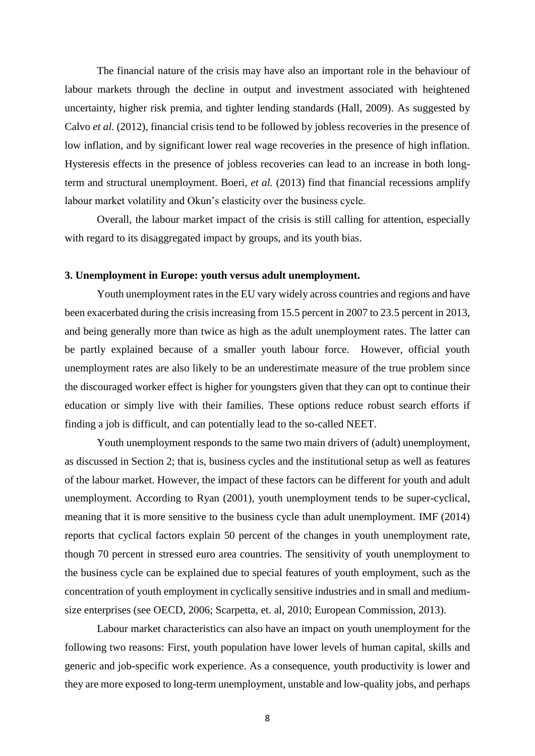The financial nature of the crisis may have also an important role in the behaviour of labour markets through the decline in output and investment associated with heightened uncertainty, higher risk premia, and tighter lending standards (Hall, 2009). As suggested by Calvo *et al.* (2012), financial crisis tend to be followed by jobless recoveries in the presence of low inflation, and by significant lower real wage recoveries in the presence of high inflation. Hysteresis effects in the presence of jobless recoveries can lead to an increase in both longterm and structural unemployment. Boeri, *et al.* (2013) find that financial recessions amplify labour market volatility and Okun's elasticity over the business cycle.

Overall, the labour market impact of the crisis is still calling for attention, especially with regard to its disaggregated impact by groups, and its youth bias.

#### **3. Unemployment in Europe: youth versus adult unemployment.**

Youth unemployment rates in the EU vary widely across countries and regions and have been exacerbated during the crisis increasing from 15.5 percent in 2007 to 23.5 percent in 2013, and being generally more than twice as high as the adult unemployment rates. The latter can be partly explained because of a smaller youth labour force. However, official youth unemployment rates are also likely to be an underestimate measure of the true problem since the discouraged worker effect is higher for youngsters given that they can opt to continue their education or simply live with their families. These options reduce robust search efforts if finding a job is difficult, and can potentially lead to the so-called NEET.

Youth unemployment responds to the same two main drivers of (adult) unemployment, as discussed in Section 2; that is, business cycles and the institutional setup as well as features of the labour market. However, the impact of these factors can be different for youth and adult unemployment. According to Ryan (2001), youth unemployment tends to be super-cyclical, meaning that it is more sensitive to the business cycle than adult unemployment. IMF (2014) reports that cyclical factors explain 50 percent of the changes in youth unemployment rate, though 70 percent in stressed euro area countries. The sensitivity of youth unemployment to the business cycle can be explained due to special features of youth employment, such as the concentration of youth employment in cyclically sensitive industries and in small and mediumsize enterprises (see OECD, 2006; Scarpetta, et. al, 2010; European Commission, 2013).

Labour market characteristics can also have an impact on youth unemployment for the following two reasons: First, youth population have lower levels of human capital, skills and generic and job-specific work experience. As a consequence, youth productivity is lower and they are more exposed to long-term unemployment, unstable and low-quality jobs, and perhaps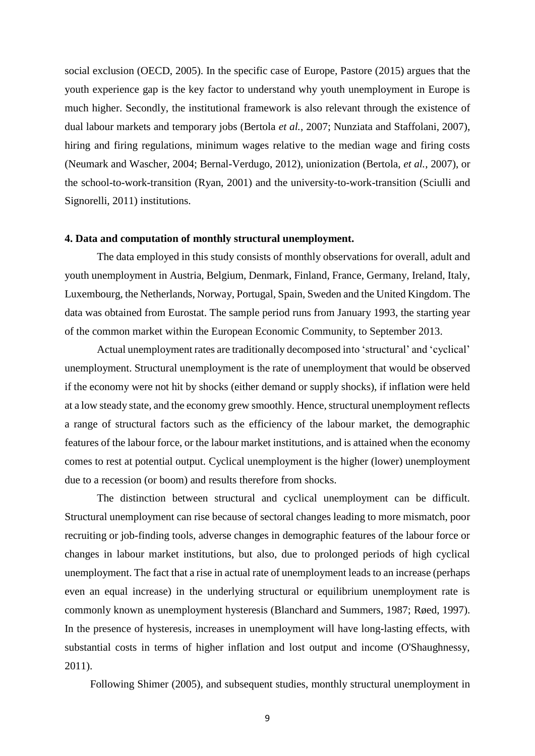social exclusion (OECD, 2005). In the specific case of Europe, Pastore (2015) argues that the youth experience gap is the key factor to understand why youth unemployment in Europe is much higher. Secondly, the institutional framework is also relevant through the existence of dual labour markets and temporary jobs (Bertola *et al.*, 2007; Nunziata and Staffolani, 2007), hiring and firing regulations, minimum wages relative to the median wage and firing costs (Neumark and Wascher, 2004; Bernal-Verdugo, 2012), unionization (Bertola, *et al.*, 2007), or the school-to-work-transition (Ryan, 2001) and the university-to-work-transition (Sciulli and Signorelli, 2011) institutions.

#### **4. Data and computation of monthly structural unemployment.**

The data employed in this study consists of monthly observations for overall, adult and youth unemployment in Austria, Belgium, Denmark, Finland, France, Germany, Ireland, Italy, Luxembourg, the Netherlands, Norway, Portugal, Spain, Sweden and the United Kingdom. The data was obtained from Eurostat. The sample period runs from January 1993, the starting year of the common market within the European Economic Community, to September 2013.

Actual unemployment rates are traditionally decomposed into 'structural' and 'cyclical' unemployment. Structural unemployment is the rate of unemployment that would be observed if the economy were not hit by shocks (either demand or supply shocks), if inflation were held at a low steady state, and the economy grew smoothly. Hence, structural unemployment reflects a range of structural factors such as the efficiency of the labour market, the demographic features of the labour force, or the labour market institutions, and is attained when the economy comes to rest at potential output. Cyclical unemployment is the higher (lower) unemployment due to a recession (or boom) and results therefore from shocks.

The distinction between structural and cyclical unemployment can be difficult. Structural unemployment can rise because of sectoral changes leading to more mismatch, poor recruiting or job-finding tools, adverse changes in demographic features of the labour force or changes in labour market institutions, but also, due to prolonged periods of high cyclical unemployment. The fact that a rise in actual rate of unemployment leads to an increase (perhaps even an equal increase) in the underlying structural or equilibrium unemployment rate is commonly known as unemployment hysteresis (Blanchard and Summers, 1987; Røed, 1997). In the presence of hysteresis, increases in unemployment will have long-lasting effects, with substantial costs in terms of higher inflation and lost output and income (O'Shaughnessy, 2011).

Following Shimer (2005), and subsequent studies, monthly structural unemployment in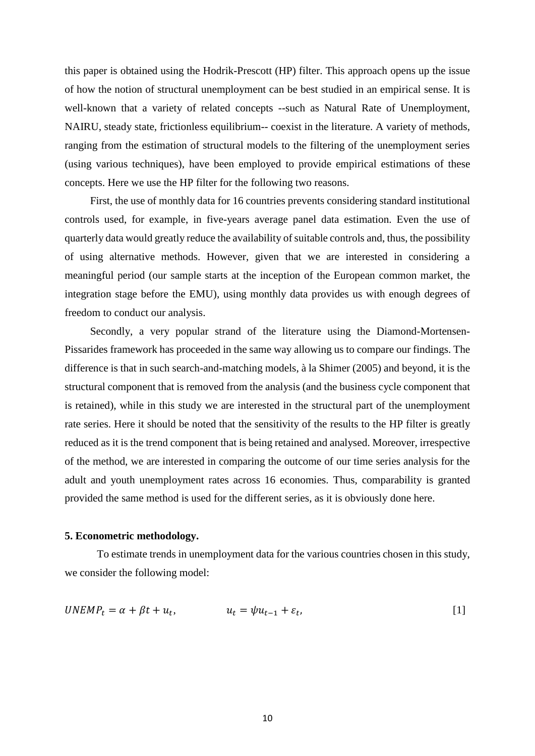this paper is obtained using the Hodrik-Prescott (HP) filter. This approach opens up the issue of how the notion of structural unemployment can be best studied in an empirical sense. It is well-known that a variety of related concepts --such as Natural Rate of Unemployment, NAIRU, steady state, frictionless equilibrium-- coexist in the literature. A variety of methods, ranging from the estimation of structural models to the filtering of the unemployment series (using various techniques), have been employed to provide empirical estimations of these concepts. Here we use the HP filter for the following two reasons.

First, the use of monthly data for 16 countries prevents considering standard institutional controls used, for example, in five-years average panel data estimation. Even the use of quarterly data would greatly reduce the availability of suitable controls and, thus, the possibility of using alternative methods. However, given that we are interested in considering a meaningful period (our sample starts at the inception of the European common market, the integration stage before the EMU), using monthly data provides us with enough degrees of freedom to conduct our analysis.

Secondly, a very popular strand of the literature using the Diamond-Mortensen-Pissarides framework has proceeded in the same way allowing us to compare our findings. The difference is that in such search-and-matching models, à la Shimer (2005) and beyond, it is the structural component that is removed from the analysis (and the business cycle component that is retained), while in this study we are interested in the structural part of the unemployment rate series. Here it should be noted that the sensitivity of the results to the HP filter is greatly reduced as it is the trend component that is being retained and analysed. Moreover, irrespective of the method, we are interested in comparing the outcome of our time series analysis for the adult and youth unemployment rates across 16 economies. Thus, comparability is granted provided the same method is used for the different series, as it is obviously done here.

#### **5. Econometric methodology.**

To estimate trends in unemployment data for the various countries chosen in this study, we consider the following model:

$$
UNEMP_t = \alpha + \beta t + u_t, \qquad u_t = \psi u_{t-1} + \varepsilon_t, \tag{1}
$$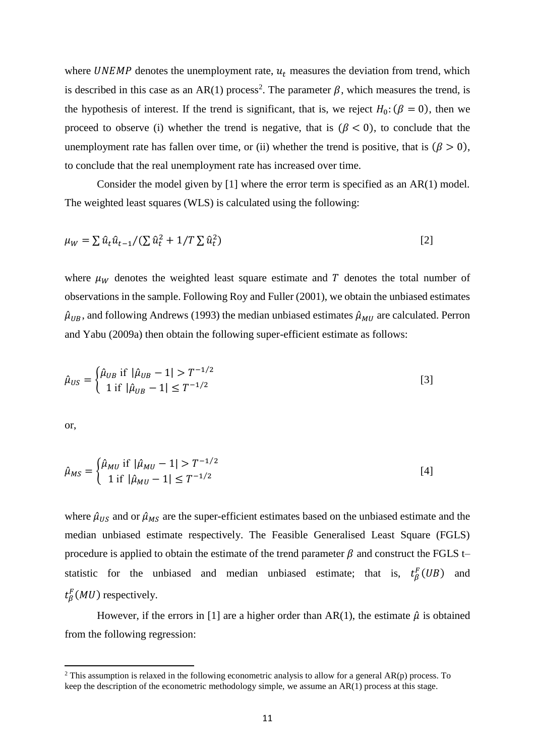where UNEMP denotes the unemployment rate,  $u_t$  measures the deviation from trend, which is described in this case as an AR(1) process<sup>2</sup>. The parameter  $\beta$ , which measures the trend, is the hypothesis of interest. If the trend is significant, that is, we reject  $H_0: (\beta = 0)$ , then we proceed to observe (i) whether the trend is negative, that is  $(\beta < 0)$ , to conclude that the unemployment rate has fallen over time, or (ii) whether the trend is positive, that is  $(\beta > 0)$ , to conclude that the real unemployment rate has increased over time.

Consider the model given by [1] where the error term is specified as an AR(1) model. The weighted least squares (WLS) is calculated using the following:

$$
\mu_W = \sum \hat{u}_t \hat{u}_{t-1} / (\sum \hat{u}_t^2 + 1/T \sum \hat{u}_t^2)
$$
 [2]

where  $\mu_W$  denotes the weighted least square estimate and T denotes the total number of observations in the sample. Following Roy and Fuller (2001), we obtain the unbiased estimates  $\hat{\mu}_{UB}$ , and following Andrews (1993) the median unbiased estimates  $\hat{\mu}_{MU}$  are calculated. Perron and Yabu (2009a) then obtain the following super-efficient estimate as follows:

$$
\hat{\mu}_{US} = \begin{cases}\n\hat{\mu}_{UB} & \text{if } |\hat{\mu}_{UB} - 1| > T^{-1/2} \\
1 & \text{if } |\hat{\mu}_{UB} - 1| \le T^{-1/2}\n\end{cases}
$$
\n[3]

or,

**.** 

$$
\hat{\mu}_{MS} = \begin{cases} \hat{\mu}_{MU} & \text{if } |\hat{\mu}_{MU} - 1| > T^{-1/2} \\ 1 & \text{if } |\hat{\mu}_{MU} - 1| \le T^{-1/2} \end{cases}
$$
 [4]

where  $\hat{\mu}_{\text{US}}$  and or  $\hat{\mu}_{\text{MS}}$  are the super-efficient estimates based on the unbiased estimate and the median unbiased estimate respectively. The Feasible Generalised Least Square (FGLS) procedure is applied to obtain the estimate of the trend parameter  $\beta$  and construct the FGLS t– statistic for the unbiased and median unbiased estimate; that is,  $t_{\beta}^{F}(UB)$  and  $t_{\beta}^{F}(MU)$  respectively.

However, if the errors in [1] are a higher order than AR(1), the estimate  $\hat{\mu}$  is obtained from the following regression:

<sup>&</sup>lt;sup>2</sup> This assumption is relaxed in the following econometric analysis to allow for a general AR(p) process. To keep the description of the econometric methodology simple, we assume an AR(1) process at this stage.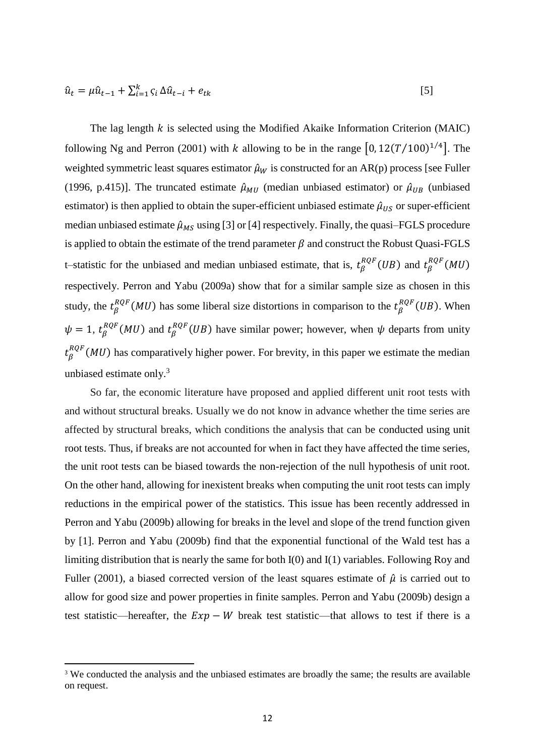$$
\hat{u}_t = \mu \hat{u}_{t-1} + \sum_{i=1}^k \varsigma_i \Delta \hat{u}_{t-i} + e_{tk}
$$
\n
$$
\tag{5}
$$

The lag length  $k$  is selected using the Modified Akaike Information Criterion (MAIC) following Ng and Perron (2001) with k allowing to be in the range  $\left[0, 12(T/100)^{1/4}\right]$ . The weighted symmetric least squares estimator  $\hat{\mu}_W$  is constructed for an AR(p) process [see Fuller (1996, p.415)]. The truncated estimate  $\hat{\mu}_{MU}$  (median unbiased estimator) or  $\hat{\mu}_{UB}$  (unbiased estimator) is then applied to obtain the super-efficient unbiased estimate  $\hat{\mu}_{US}$  or super-efficient median unbiased estimate  $\hat{\mu}_{MS}$  using [3] or [4] respectively. Finally, the quasi–FGLS procedure is applied to obtain the estimate of the trend parameter  $\beta$  and construct the Robust Quasi-FGLS t–statistic for the unbiased and median unbiased estimate, that is,  $t_\beta^{RQF}(UB)$  and  $t_\beta^{RQF}(MU)$ respectively. Perron and Yabu (2009a) show that for a similar sample size as chosen in this study, the  $t_{\beta}^{RQF}(MU)$  has some liberal size distortions in comparison to the  $t_{\beta}^{RQF}(UB)$ . When  $\psi = 1$ ,  $t_{\beta}^{RQF}(MU)$  and  $t_{\beta}^{RQF}(UB)$  have similar power; however, when  $\psi$  departs from unity  $t_{\beta}^{RQF}(MU)$  has comparatively higher power. For brevity, in this paper we estimate the median unbiased estimate only.<sup>3</sup>

So far, the economic literature have proposed and applied different unit root tests with and without structural breaks. Usually we do not know in advance whether the time series are affected by structural breaks, which conditions the analysis that can be conducted using unit root tests. Thus, if breaks are not accounted for when in fact they have affected the time series, the unit root tests can be biased towards the non-rejection of the null hypothesis of unit root. On the other hand, allowing for inexistent breaks when computing the unit root tests can imply reductions in the empirical power of the statistics. This issue has been recently addressed in Perron and Yabu (2009b) allowing for breaks in the level and slope of the trend function given by [1]. Perron and Yabu (2009b) find that the exponential functional of the Wald test has a limiting distribution that is nearly the same for both I(0) and I(1) variables. Following Roy and Fuller (2001), a biased corrected version of the least squares estimate of  $\hat{\mu}$  is carried out to allow for good size and power properties in finite samples. Perron and Yabu (2009b) design a test statistic—hereafter, the  $Exp - W$  break test statistic—that allows to test if there is a

**.** 

<sup>&</sup>lt;sup>3</sup> We conducted the analysis and the unbiased estimates are broadly the same; the results are available on request.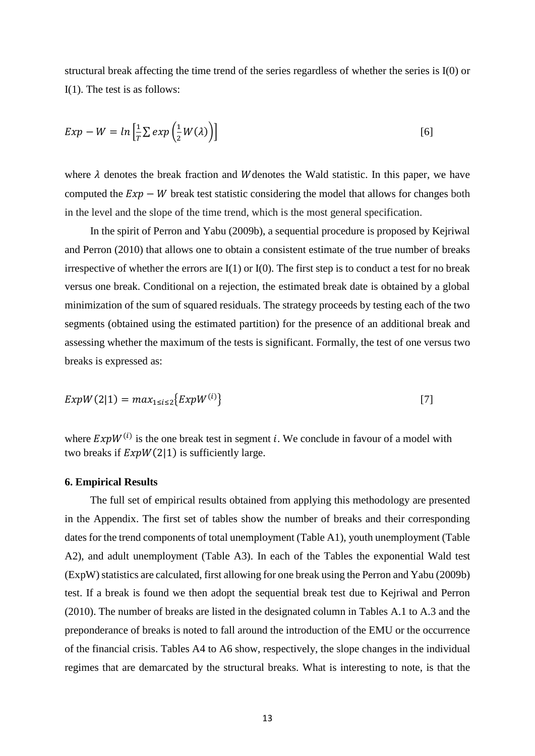structural break affecting the time trend of the series regardless of whether the series is I(0) or I(1). The test is as follows:

$$
Exp - W = \ln\left[\frac{1}{T}\sum exp\left(\frac{1}{2}W(\lambda)\right)\right]
$$
 [6]

where  $\lambda$  denotes the break fraction and *W* denotes the Wald statistic. In this paper, we have computed the  $Exp - W$  break test statistic considering the model that allows for changes both in the level and the slope of the time trend, which is the most general specification.

In the spirit of Perron and Yabu (2009b), a sequential procedure is proposed by Kejriwal and Perron (2010) that allows one to obtain a consistent estimate of the true number of breaks irrespective of whether the errors are  $I(1)$  or  $I(0)$ . The first step is to conduct a test for no break versus one break. Conditional on a rejection, the estimated break date is obtained by a global minimization of the sum of squared residuals. The strategy proceeds by testing each of the two segments (obtained using the estimated partition) for the presence of an additional break and assessing whether the maximum of the tests is significant. Formally, the test of one versus two breaks is expressed as:

$$
ExpW(2|1) = max_{1 \le i \le 2} \{ ExpW^{(i)} \}
$$
 [7]

where  $ExpW^{(i)}$  is the one break test in segment *i*. We conclude in favour of a model with two breaks if  $ExpW(2|1)$  is sufficiently large.

#### **6. Empirical Results**

The full set of empirical results obtained from applying this methodology are presented in the Appendix. The first set of tables show the number of breaks and their corresponding dates for the trend components of total unemployment (Table A1), youth unemployment (Table A2), and adult unemployment (Table A3). In each of the Tables the exponential Wald test (ExpW) statistics are calculated, first allowing for one break using the Perron and Yabu (2009b) test. If a break is found we then adopt the sequential break test due to Kejriwal and Perron (2010). The number of breaks are listed in the designated column in Tables A.1 to A.3 and the preponderance of breaks is noted to fall around the introduction of the EMU or the occurrence of the financial crisis. Tables A4 to A6 show, respectively, the slope changes in the individual regimes that are demarcated by the structural breaks. What is interesting to note, is that the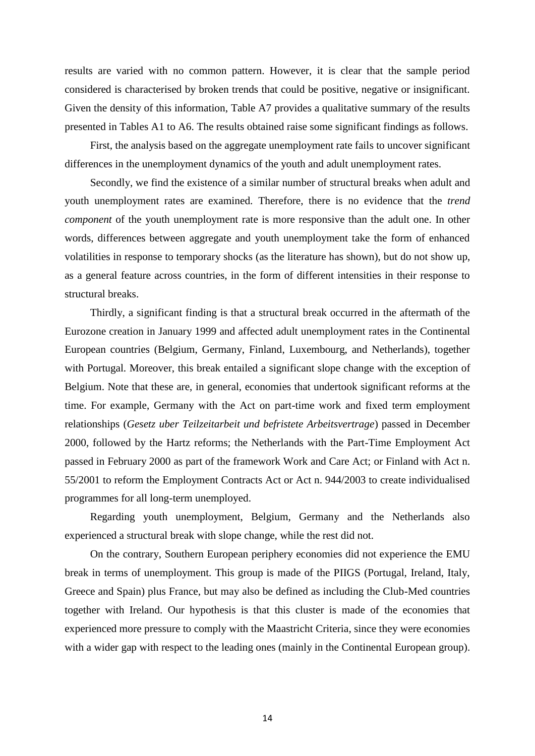results are varied with no common pattern. However, it is clear that the sample period considered is characterised by broken trends that could be positive, negative or insignificant. Given the density of this information, Table A7 provides a qualitative summary of the results presented in Tables A1 to A6. The results obtained raise some significant findings as follows.

First, the analysis based on the aggregate unemployment rate fails to uncover significant differences in the unemployment dynamics of the youth and adult unemployment rates.

Secondly, we find the existence of a similar number of structural breaks when adult and youth unemployment rates are examined. Therefore, there is no evidence that the *trend component* of the youth unemployment rate is more responsive than the adult one. In other words, differences between aggregate and youth unemployment take the form of enhanced volatilities in response to temporary shocks (as the literature has shown), but do not show up, as a general feature across countries, in the form of different intensities in their response to structural breaks.

Thirdly, a significant finding is that a structural break occurred in the aftermath of the Eurozone creation in January 1999 and affected adult unemployment rates in the Continental European countries (Belgium, Germany, Finland, Luxembourg, and Netherlands), together with Portugal. Moreover, this break entailed a significant slope change with the exception of Belgium. Note that these are, in general, economies that undertook significant reforms at the time. For example, Germany with the Act on part-time work and fixed term employment relationships (*Gesetz uber Teilzeitarbeit und befristete Arbeitsvertrage*) passed in December 2000, followed by the Hartz reforms; the Netherlands with the Part-Time Employment Act passed in February 2000 as part of the framework Work and Care Act; or Finland with Act n. 55/2001 to reform the Employment Contracts Act or Act n. 944/2003 to create individualised programmes for all long-term unemployed.

Regarding youth unemployment, Belgium, Germany and the Netherlands also experienced a structural break with slope change, while the rest did not.

On the contrary, Southern European periphery economies did not experience the EMU break in terms of unemployment. This group is made of the PIIGS (Portugal, Ireland, Italy, Greece and Spain) plus France, but may also be defined as including the Club-Med countries together with Ireland. Our hypothesis is that this cluster is made of the economies that experienced more pressure to comply with the Maastricht Criteria, since they were economies with a wider gap with respect to the leading ones (mainly in the Continental European group).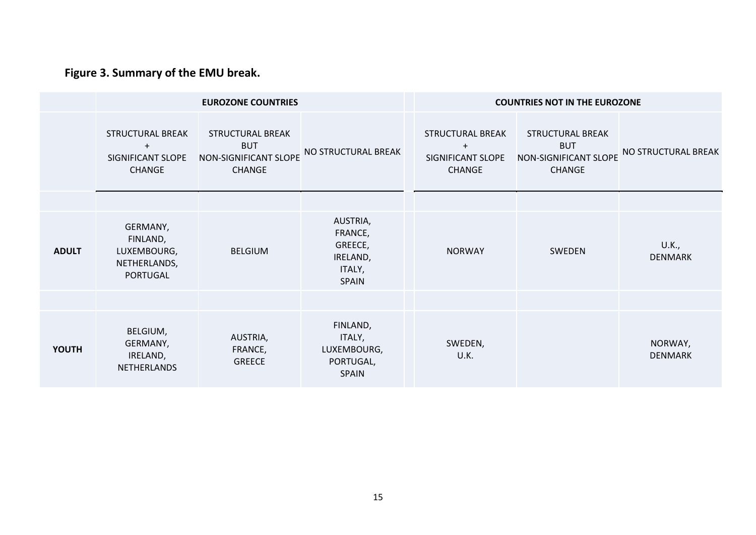# **Figure 3. Summary of the EMU break.**

|              |                                                                        | <b>EUROZONE COUNTRIES</b>                                                                         |                                                                      |                                                | <b>COUNTRIES NOT IN THE EUROZONE</b>                                                       |                           |  |  |
|--------------|------------------------------------------------------------------------|---------------------------------------------------------------------------------------------------|----------------------------------------------------------------------|------------------------------------------------|--------------------------------------------------------------------------------------------|---------------------------|--|--|
|              | <b>STRUCTURAL BREAK</b><br>$\ddot{}$<br>CHANGE                         | <b>STRUCTURAL BREAK</b><br><b>BUT</b><br>SIGNIFICANT SLOPE NON-SIGNIFICANT SLOPE<br><b>CHANGE</b> | NO STRUCTURAL BREAK                                                  | <b>STRUCTURAL BREAK</b><br>$\ddot{}$<br>CHANGE | <b>STRUCTURAL BREAK</b><br><b>BUT</b><br>SIGNIFICANT SLOPE NON-SIGNIFICANT SLOPE<br>CHANGE | NO STRUCTURAL BREAK       |  |  |
|              |                                                                        |                                                                                                   |                                                                      |                                                |                                                                                            |                           |  |  |
| <b>ADULT</b> | GERMANY,<br>FINLAND,<br>LUXEMBOURG,<br>NETHERLANDS,<br><b>PORTUGAL</b> | <b>BELGIUM</b>                                                                                    | AUSTRIA,<br>FRANCE,<br>GREECE,<br>IRELAND,<br>ITALY,<br><b>SPAIN</b> | <b>NORWAY</b>                                  | SWEDEN                                                                                     | U.K.,<br><b>DENMARK</b>   |  |  |
|              |                                                                        |                                                                                                   |                                                                      |                                                |                                                                                            |                           |  |  |
| <b>YOUTH</b> | BELGIUM,<br>GERMANY,<br>IRELAND,<br><b>NETHERLANDS</b>                 | AUSTRIA,<br>FRANCE,<br><b>GREECE</b>                                                              | FINLAND,<br>ITALY,<br>LUXEMBOURG,<br>PORTUGAL,<br><b>SPAIN</b>       | SWEDEN,<br>U.K.                                |                                                                                            | NORWAY,<br><b>DENMARK</b> |  |  |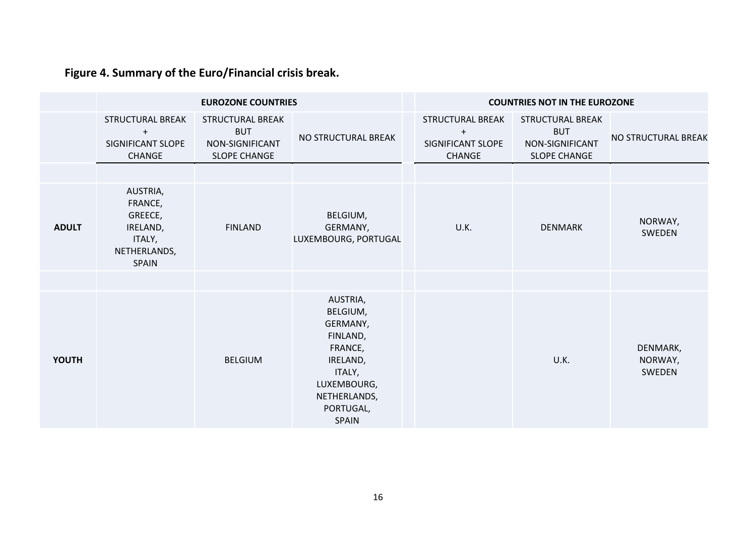# **Figure 4. Summary of the Euro/Financial crisis break.**

|              | <b>EUROZONE COUNTRIES</b>                                                            |                                                                                 |                                                                                                                                           |  | <b>COUNTRIES NOT IN THE EUROZONE</b>                                       |                                                                                 |                               |
|--------------|--------------------------------------------------------------------------------------|---------------------------------------------------------------------------------|-------------------------------------------------------------------------------------------------------------------------------------------|--|----------------------------------------------------------------------------|---------------------------------------------------------------------------------|-------------------------------|
|              | <b>STRUCTURAL BREAK</b><br>$\ddot{}$<br>SIGNIFICANT SLOPE<br><b>CHANGE</b>           | <b>STRUCTURAL BREAK</b><br><b>BUT</b><br>NON-SIGNIFICANT<br><b>SLOPE CHANGE</b> | NO STRUCTURAL BREAK                                                                                                                       |  | <b>STRUCTURAL BREAK</b><br>$\ddot{}$<br>SIGNIFICANT SLOPE<br><b>CHANGE</b> | <b>STRUCTURAL BREAK</b><br><b>BUT</b><br>NON-SIGNIFICANT<br><b>SLOPE CHANGE</b> | <b>NO STRUCTURAL BREAK</b>    |
|              |                                                                                      |                                                                                 |                                                                                                                                           |  |                                                                            |                                                                                 |                               |
| <b>ADULT</b> | AUSTRIA,<br>FRANCE,<br>GREECE,<br>IRELAND,<br>ITALY,<br>NETHERLANDS,<br><b>SPAIN</b> | <b>FINLAND</b>                                                                  | BELGIUM,<br>GERMANY,<br>LUXEMBOURG, PORTUGAL                                                                                              |  | U.K.                                                                       | <b>DENMARK</b>                                                                  | NORWAY,<br>SWEDEN             |
|              |                                                                                      |                                                                                 |                                                                                                                                           |  |                                                                            |                                                                                 |                               |
| <b>YOUTH</b> |                                                                                      | <b>BELGIUM</b>                                                                  | AUSTRIA,<br>BELGIUM,<br>GERMANY,<br>FINLAND,<br>FRANCE,<br>IRELAND,<br>ITALY,<br>LUXEMBOURG,<br>NETHERLANDS,<br>PORTUGAL,<br><b>SPAIN</b> |  |                                                                            | U.K.                                                                            | DENMARK,<br>NORWAY,<br>SWEDEN |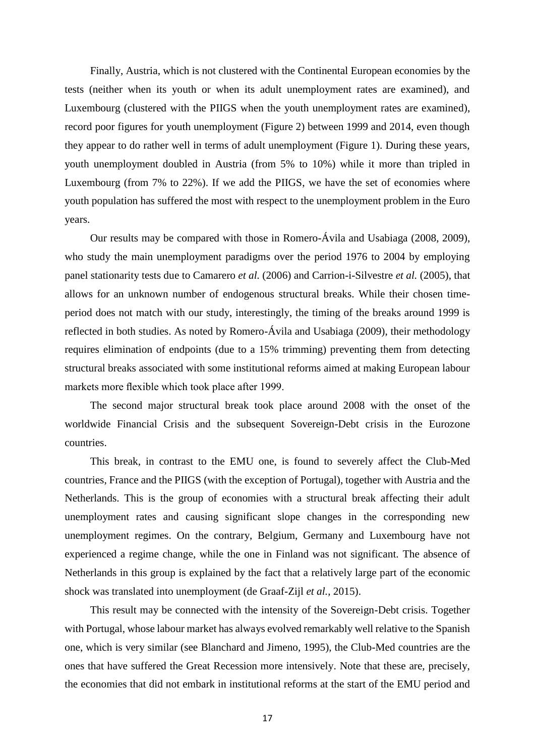Finally, Austria, which is not clustered with the Continental European economies by the tests (neither when its youth or when its adult unemployment rates are examined), and Luxembourg (clustered with the PIIGS when the youth unemployment rates are examined), record poor figures for youth unemployment (Figure 2) between 1999 and 2014, even though they appear to do rather well in terms of adult unemployment (Figure 1). During these years, youth unemployment doubled in Austria (from 5% to 10%) while it more than tripled in Luxembourg (from 7% to 22%). If we add the PIIGS, we have the set of economies where youth population has suffered the most with respect to the unemployment problem in the Euro years.

Our results may be compared with those in Romero-Ávila and Usabiaga (2008, 2009), who study the main unemployment paradigms over the period 1976 to 2004 by employing panel stationarity tests due to Camarero *et al.* (2006) and Carrion-i-Silvestre *et al.* (2005), that allows for an unknown number of endogenous structural breaks. While their chosen timeperiod does not match with our study, interestingly, the timing of the breaks around 1999 is reflected in both studies. As noted by Romero-Ávila and Usabiaga (2009), their methodology requires elimination of endpoints (due to a 15% trimming) preventing them from detecting structural breaks associated with some institutional reforms aimed at making European labour markets more flexible which took place after 1999.

The second major structural break took place around 2008 with the onset of the worldwide Financial Crisis and the subsequent Sovereign-Debt crisis in the Eurozone countries.

This break, in contrast to the EMU one, is found to severely affect the Club-Med countries, France and the PIIGS (with the exception of Portugal), together with Austria and the Netherlands. This is the group of economies with a structural break affecting their adult unemployment rates and causing significant slope changes in the corresponding new unemployment regimes. On the contrary, Belgium, Germany and Luxembourg have not experienced a regime change, while the one in Finland was not significant. The absence of Netherlands in this group is explained by the fact that a relatively large part of the economic shock was translated into unemployment (de Graaf-Zijl *et al.*, 2015).

This result may be connected with the intensity of the Sovereign-Debt crisis. Together with Portugal, whose labour market has always evolved remarkably well relative to the Spanish one, which is very similar (see Blanchard and Jimeno, 1995), the Club-Med countries are the ones that have suffered the Great Recession more intensively. Note that these are, precisely, the economies that did not embark in institutional reforms at the start of the EMU period and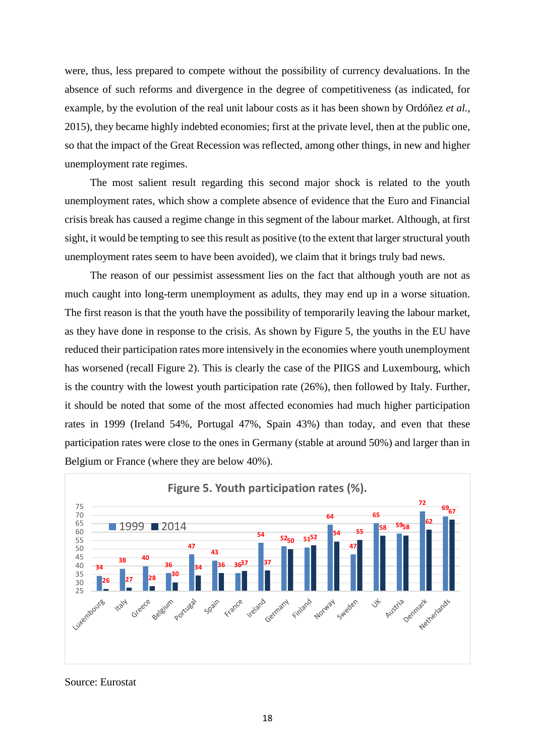were, thus, less prepared to compete without the possibility of currency devaluations. In the absence of such reforms and divergence in the degree of competitiveness (as indicated, for example, by the evolution of the real unit labour costs as it has been shown by Ordóñez *et al.*, 2015), they became highly indebted economies; first at the private level, then at the public one, so that the impact of the Great Recession was reflected, among other things, in new and higher unemployment rate regimes.

The most salient result regarding this second major shock is related to the youth unemployment rates, which show a complete absence of evidence that the Euro and Financial crisis break has caused a regime change in this segment of the labour market. Although, at first sight, it would be tempting to see this result as positive (to the extent that larger structural youth unemployment rates seem to have been avoided), we claim that it brings truly bad news.

The reason of our pessimist assessment lies on the fact that although youth are not as much caught into long-term unemployment as adults, they may end up in a worse situation. The first reason is that the youth have the possibility of temporarily leaving the labour market, as they have done in response to the crisis. As shown by Figure 5, the youths in the EU have reduced their participation rates more intensively in the economies where youth unemployment has worsened (recall Figure 2). This is clearly the case of the PIIGS and Luxembourg, which is the country with the lowest youth participation rate (26%), then followed by Italy. Further, it should be noted that some of the most affected economies had much higher participation rates in 1999 (Ireland 54%, Portugal 47%, Spain 43%) than today, and even that these participation rates were close to the ones in Germany (stable at around 50%) and larger than in Belgium or France (where they are below 40%).



Source: Eurostat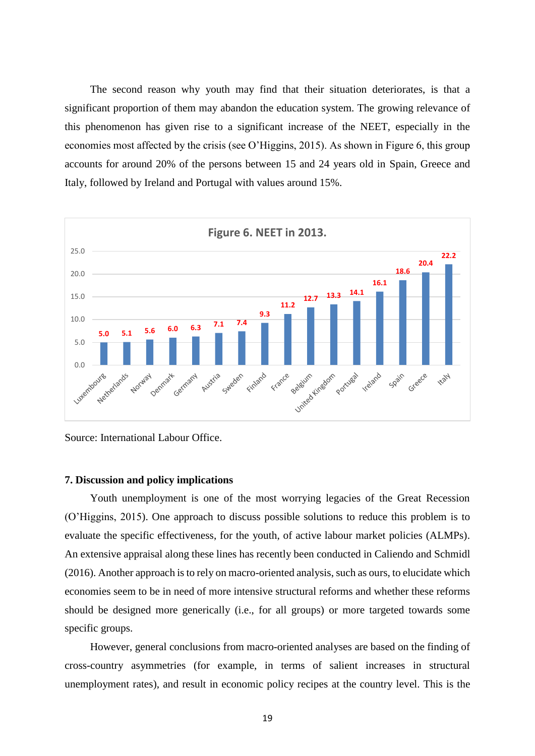The second reason why youth may find that their situation deteriorates, is that a significant proportion of them may abandon the education system. The growing relevance of this phenomenon has given rise to a significant increase of the NEET, especially in the economies most affected by the crisis (see O'Higgins, 2015). As shown in Figure 6, this group accounts for around 20% of the persons between 15 and 24 years old in Spain, Greece and Italy, followed by Ireland and Portugal with values around 15%.



Source: International Labour Office.

#### **7. Discussion and policy implications**

Youth unemployment is one of the most worrying legacies of the Great Recession (O'Higgins, 2015). One approach to discuss possible solutions to reduce this problem is to evaluate the specific effectiveness, for the youth, of active labour market policies (ALMPs). An extensive appraisal along these lines has recently been conducted in Caliendo and Schmidl (2016). Another approach is to rely on macro-oriented analysis, such as ours, to elucidate which economies seem to be in need of more intensive structural reforms and whether these reforms should be designed more generically (i.e., for all groups) or more targeted towards some specific groups.

However, general conclusions from macro-oriented analyses are based on the finding of cross-country asymmetries (for example, in terms of salient increases in structural unemployment rates), and result in economic policy recipes at the country level. This is the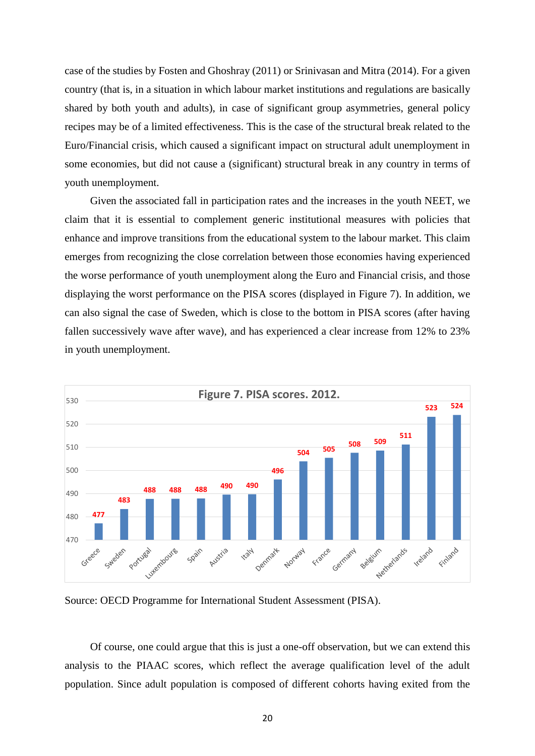case of the studies by Fosten and Ghoshray (2011) or Srinivasan and Mitra (2014). For a given country (that is, in a situation in which labour market institutions and regulations are basically shared by both youth and adults), in case of significant group asymmetries, general policy recipes may be of a limited effectiveness. This is the case of the structural break related to the Euro/Financial crisis, which caused a significant impact on structural adult unemployment in some economies, but did not cause a (significant) structural break in any country in terms of youth unemployment.

Given the associated fall in participation rates and the increases in the youth NEET, we claim that it is essential to complement generic institutional measures with policies that enhance and improve transitions from the educational system to the labour market. This claim emerges from recognizing the close correlation between those economies having experienced the worse performance of youth unemployment along the Euro and Financial crisis, and those displaying the worst performance on the PISA scores (displayed in Figure 7). In addition, we can also signal the case of Sweden, which is close to the bottom in PISA scores (after having fallen successively wave after wave), and has experienced a clear increase from 12% to 23% in youth unemployment.



Source: OECD Programme for International Student Assessment (PISA).

Of course, one could argue that this is just a one-off observation, but we can extend this analysis to the PIAAC scores, which reflect the average qualification level of the adult population. Since adult population is composed of different cohorts having exited from the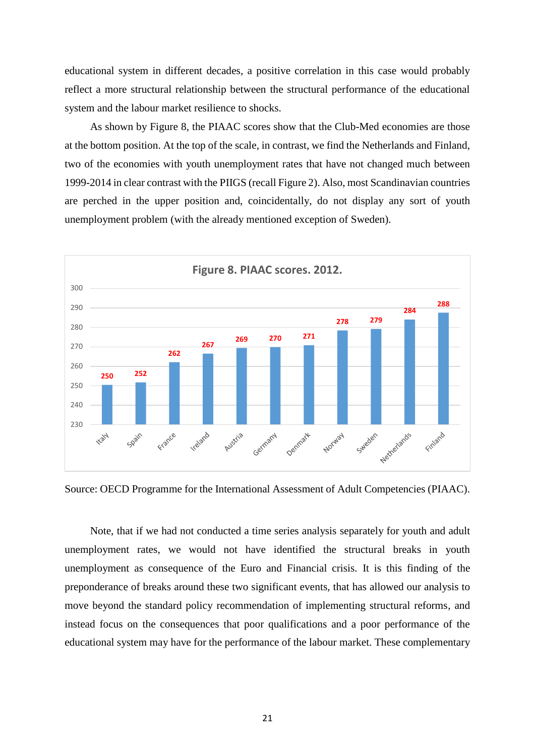educational system in different decades, a positive correlation in this case would probably reflect a more structural relationship between the structural performance of the educational system and the labour market resilience to shocks.

As shown by Figure 8, the PIAAC scores show that the Club-Med economies are those at the bottom position. At the top of the scale, in contrast, we find the Netherlands and Finland, two of the economies with youth unemployment rates that have not changed much between 1999-2014 in clear contrast with the PIIGS (recall Figure 2). Also, most Scandinavian countries are perched in the upper position and, coincidentally, do not display any sort of youth unemployment problem (with the already mentioned exception of Sweden).



Source: OECD Programme for the International Assessment of Adult Competencies (PIAAC).

Note, that if we had not conducted a time series analysis separately for youth and adult unemployment rates, we would not have identified the structural breaks in youth unemployment as consequence of the Euro and Financial crisis. It is this finding of the preponderance of breaks around these two significant events, that has allowed our analysis to move beyond the standard policy recommendation of implementing structural reforms, and instead focus on the consequences that poor qualifications and a poor performance of the educational system may have for the performance of the labour market. These complementary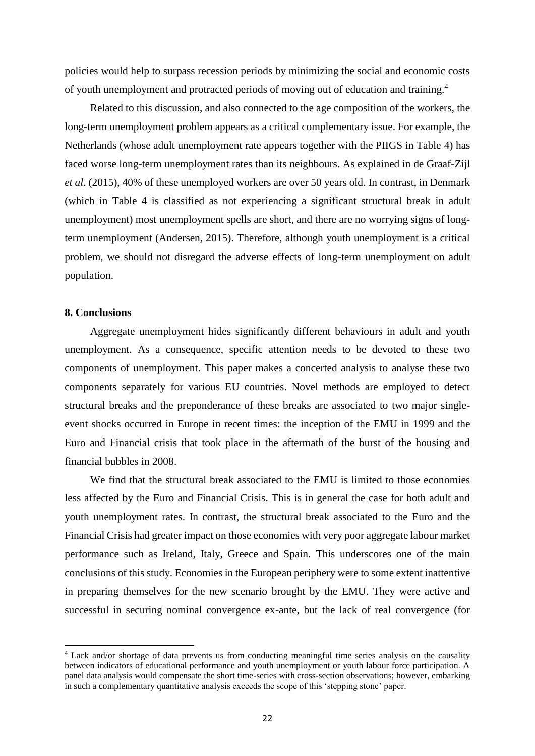policies would help to surpass recession periods by minimizing the social and economic costs of youth unemployment and protracted periods of moving out of education and training. 4

Related to this discussion, and also connected to the age composition of the workers, the long-term unemployment problem appears as a critical complementary issue. For example, the Netherlands (whose adult unemployment rate appears together with the PIIGS in Table 4) has faced worse long-term unemployment rates than its neighbours. As explained in de Graaf-Zijl *et al.* (2015), 40% of these unemployed workers are over 50 years old. In contrast, in Denmark (which in Table 4 is classified as not experiencing a significant structural break in adult unemployment) most unemployment spells are short, and there are no worrying signs of longterm unemployment (Andersen, 2015). Therefore, although youth unemployment is a critical problem, we should not disregard the adverse effects of long-term unemployment on adult population.

#### **8. Conclusions**

**.** 

Aggregate unemployment hides significantly different behaviours in adult and youth unemployment. As a consequence, specific attention needs to be devoted to these two components of unemployment. This paper makes a concerted analysis to analyse these two components separately for various EU countries. Novel methods are employed to detect structural breaks and the preponderance of these breaks are associated to two major singleevent shocks occurred in Europe in recent times: the inception of the EMU in 1999 and the Euro and Financial crisis that took place in the aftermath of the burst of the housing and financial bubbles in 2008.

We find that the structural break associated to the EMU is limited to those economies less affected by the Euro and Financial Crisis. This is in general the case for both adult and youth unemployment rates. In contrast, the structural break associated to the Euro and the Financial Crisis had greater impact on those economies with very poor aggregate labour market performance such as Ireland, Italy, Greece and Spain. This underscores one of the main conclusions of this study. Economies in the European periphery were to some extent inattentive in preparing themselves for the new scenario brought by the EMU. They were active and successful in securing nominal convergence ex-ante, but the lack of real convergence (for

<sup>4</sup> Lack and/or shortage of data prevents us from conducting meaningful time series analysis on the causality between indicators of educational performance and youth unemployment or youth labour force participation. A panel data analysis would compensate the short time-series with cross-section observations; however, embarking in such a complementary quantitative analysis exceeds the scope of this 'stepping stone' paper.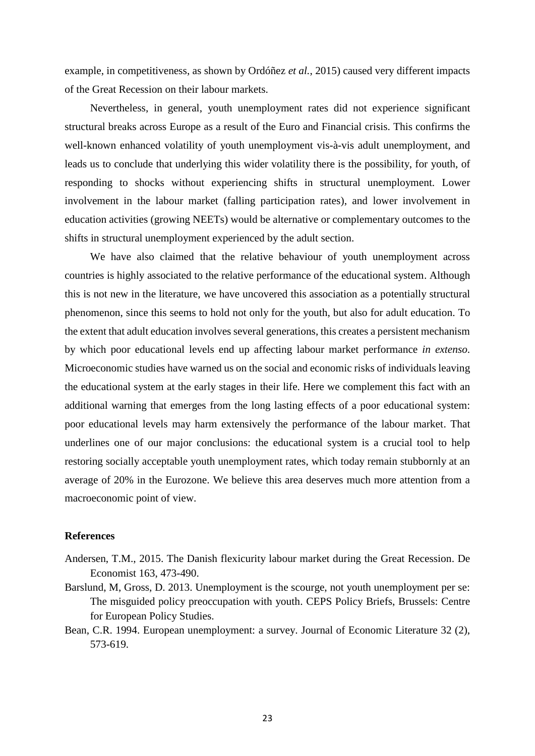example, in competitiveness, as shown by Ordóñez *et al.*, 2015) caused very different impacts of the Great Recession on their labour markets.

Nevertheless, in general, youth unemployment rates did not experience significant structural breaks across Europe as a result of the Euro and Financial crisis. This confirms the well-known enhanced volatility of youth unemployment vis-à-vis adult unemployment, and leads us to conclude that underlying this wider volatility there is the possibility, for youth, of responding to shocks without experiencing shifts in structural unemployment. Lower involvement in the labour market (falling participation rates), and lower involvement in education activities (growing NEETs) would be alternative or complementary outcomes to the shifts in structural unemployment experienced by the adult section.

We have also claimed that the relative behaviour of youth unemployment across countries is highly associated to the relative performance of the educational system. Although this is not new in the literature, we have uncovered this association as a potentially structural phenomenon, since this seems to hold not only for the youth, but also for adult education. To the extent that adult education involves several generations, this creates a persistent mechanism by which poor educational levels end up affecting labour market performance *in extenso*. Microeconomic studies have warned us on the social and economic risks of individuals leaving the educational system at the early stages in their life. Here we complement this fact with an additional warning that emerges from the long lasting effects of a poor educational system: poor educational levels may harm extensively the performance of the labour market. That underlines one of our major conclusions: the educational system is a crucial tool to help restoring socially acceptable youth unemployment rates, which today remain stubbornly at an average of 20% in the Eurozone. We believe this area deserves much more attention from a macroeconomic point of view.

#### **References**

- Andersen, T.M., 2015. The Danish flexicurity labour market during the Great Recession. De Economist 163, 473-490.
- Barslund, M, Gross, D. 2013. Unemployment is the scourge, not youth unemployment per se: The misguided policy preoccupation with youth. CEPS Policy Briefs, Brussels: Centre for European Policy Studies.
- Bean, C.R. 1994. European unemployment: a survey. Journal of Economic Literature 32 (2), 573-619.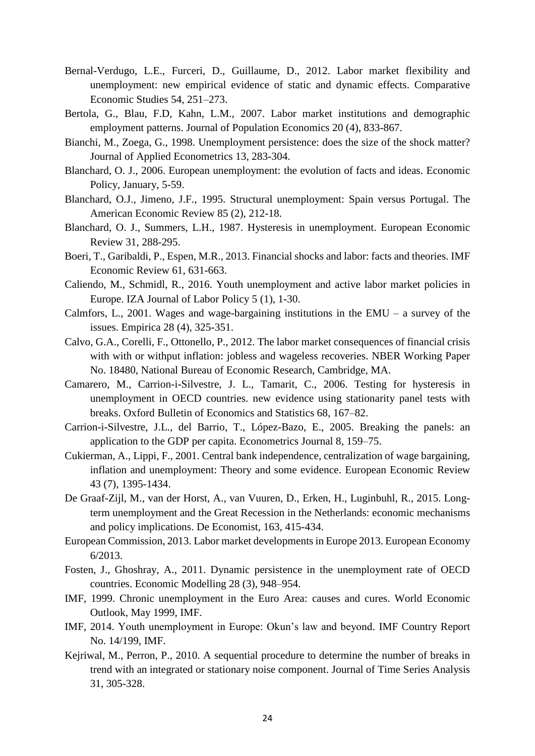- Bernal-Verdugo, L.E., Furceri, D., Guillaume, D., 2012. Labor market flexibility and unemployment: new empirical evidence of static and dynamic effects. Comparative Economic Studies 54, 251–273.
- Bertola, G., Blau, F.D, Kahn, L.M., 2007. Labor market institutions and demographic employment patterns. Journal of Population Economics 20 (4), 833-867.
- Bianchi, M., Zoega, G., 1998. Unemployment persistence: does the size of the shock matter? Journal of Applied Econometrics 13, 283-304.
- Blanchard, O. J., 2006. European unemployment: the evolution of facts and ideas. Economic Policy, January, 5-59.
- Blanchard, O.J., Jimeno, J.F., 1995. [Structural unemployment: Spain versus Portugal.](https://ideas.repec.org/a/aea/aecrev/v85y1995i2p212-18.html) [The](https://ideas.repec.org/s/aea/aecrev.html)  [American Economic Review](https://ideas.repec.org/s/aea/aecrev.html) 85 (2), 212-18.
- Blanchard, O. J., Summers, L.H., 1987. Hysteresis in unemployment. European Economic Review 31, 288-295.
- Boeri, T., Garibaldi, P., Espen, M.R., 2013. Financial shocks and labor: facts and theories. IMF Economic Review 61, 631-663.
- Caliendo, M., Schmidl, R., 2016. Youth unemployment and active labor market policies in Europe. IZA Journal of Labor Policy 5 (1), 1-30.
- Calmfors, L., 2001. Wages and wage-bargaining institutions in the  $EMU a$  survey of the issues. Empirica 28 (4), 325-351.
- Calvo, G.A., Corelli, F., Ottonello, P., 2012. The labor market consequences of financial crisis with with or withput inflation: jobless and wageless recoveries. NBER Working Paper No. 18480, National Bureau of Economic Research, Cambridge, MA.
- Camarero, M., Carrion-i-Silvestre, J. L., Tamarit, C., 2006. Testing for hysteresis in unemployment in OECD countries. new evidence using stationarity panel tests with breaks. Oxford Bulletin of Economics and Statistics 68, 167–82.
- Carrion-i-Silvestre, J.L., del Barrio, T., López-Bazo, E., 2005. Breaking the panels: an application to the GDP per capita. Econometrics Journal 8, 159–75.
- Cukierman, A., Lippi, F., 2001. Central bank independence, centralization of wage bargaining, inflation and unemployment: Theory and some evidence. European Economic Review 43 (7), 1395-1434.
- De Graaf-Zijl, M., van der Horst, A., van Vuuren, D., Erken, H., Luginbuhl, R., 2015. Longterm unemployment and the Great Recession in the Netherlands: economic mechanisms and policy implications. De Economist, 163, 415-434.
- European Commission, 2013. Labor market developments in Europe 2013. European Economy 6/2013.
- Fosten, J., Ghoshray, A., 2011. Dynamic persistence in the unemployment rate of OECD countries. [Economic Modelling](http://www.sciencedirect.com/science/journal/02649993) [28 \(3\)](http://www.sciencedirect.com/science/journal/02649993/28/3), 948–954.
- IMF, 1999. Chronic unemployment in the Euro Area: causes and cures. World Economic Outlook, May 1999, IMF.
- IMF, 2014. Youth unemployment in Europe: Okun's law and beyond. IMF Country Report No. 14/199, IMF.
- Kejriwal, M., Perron, P., 2010. A sequential procedure to determine the number of breaks in trend with an integrated or stationary noise component. Journal of Time Series Analysis 31, 305-328.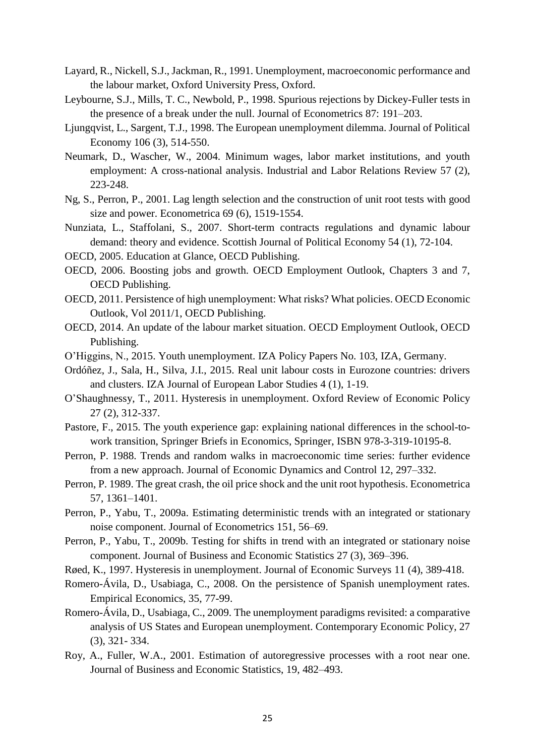- Layard, R., Nickell, S.J., Jackman, R., 1991. Unemployment, macroeconomic performance and the labour market, Oxford University Press, Oxford.
- Leybourne, S.J., Mills, T. C., Newbold, P., 1998. Spurious rejections by Dickey-Fuller tests in the presence of a break under the null. Journal of Econometrics 87: 191–203.
- Ljungqvist, L., Sargent, T.J., 1998. The European unemployment dilemma. Journal of Political Economy 106 (3), 514-550.
- Neumark, D., Wascher, W., 2004. Minimum wages, labor market institutions, and youth employment: A cross-national analysis. Industrial and Labor Relations Review 57 (2), 223-248.
- Ng, S., Perron, P., 2001. Lag length selection and the construction of unit root tests with good size and power. Econometrica 69 (6), 1519-1554.
- Nunziata, L., Staffolani, S., 2007. Short-term contracts regulations and dynamic labour demand: theory and evidence. Scottish Journal of Political Economy 54 (1), 72-104.
- OECD, 2005. Education at Glance, OECD Publishing.
- OECD, 2006. Boosting jobs and growth. OECD Employment Outlook, Chapters 3 and 7, OECD Publishing.
- OECD, 2011. Persistence of high unemployment: What risks? What policies. OECD Economic Outlook, Vol 2011/1, OECD Publishing.
- OECD, 2014. An update of the labour market situation. OECD Employment Outlook, OECD Publishing.
- O'Higgins, N., 2015. Youth unemployment. IZA Policy Papers No. 103, IZA, Germany.
- Ordóñez, J., Sala, H., Silva, J.I., 2015. Real unit labour costs in Eurozone countries: drivers and clusters. IZA Journal of European Labor Studies 4 (1), 1-19.
- O'Shaughnessy, T., 2011. Hysteresis in unemployment. Oxford Review of Economic Policy 27 (2), 312-337.
- Pastore, F., 2015. The youth experience gap: explaining national differences in the school-towork transition, Springer Briefs in Economics, Springer, ISBN 978-3-319-10195-8.
- Perron, P. 1988. Trends and random walks in macroeconomic time series: further evidence from a new approach. Journal of Economic Dynamics and Control 12, 297–332.
- Perron, P. 1989. The great crash, the oil price shock and the unit root hypothesis. Econometrica 57, 1361–1401.
- Perron, P., Yabu, T., 2009a. Estimating deterministic trends with an integrated or stationary noise component. Journal of Econometrics 151, 56–69.
- Perron, P., Yabu, T., 2009b. Testing for shifts in trend with an integrated or stationary noise component. Journal of Business and Economic Statistics 27 (3), 369–396.
- Røed, K., 1997. Hysteresis in unemployment. Journal of Economic Surveys 11 (4), 389-418.
- Romero-Ávila, D., Usabiaga, C., 2008. On the persistence of Spanish unemployment rates. Empirical Economics, 35, 77-99.
- Romero-Ávila, D., Usabiaga, C., 2009. The unemployment paradigms revisited: a comparative analysis of US States and European unemployment. Contemporary Economic Policy, 27 (3), 321- 334.
- Roy, A., Fuller, W.A., 2001. Estimation of autoregressive processes with a root near one. Journal of Business and Economic Statistics, 19, 482–493.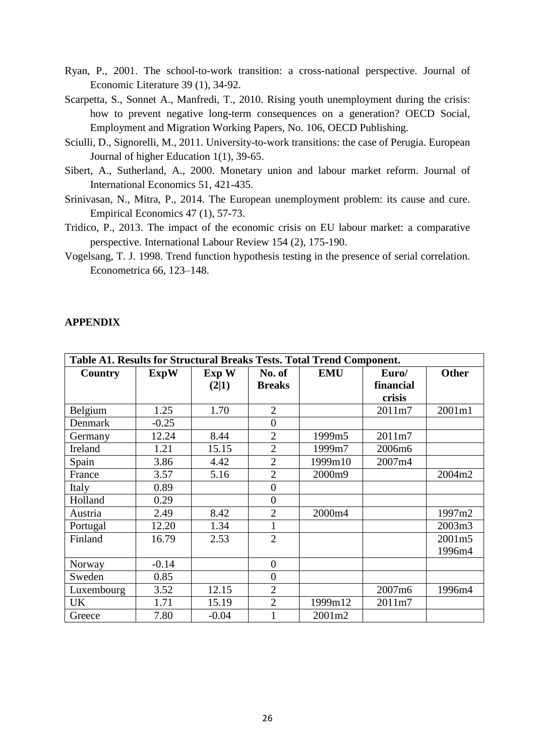- Ryan, P., 2001. The school-to-work transition: a cross-national perspective. Journal of Economic Literature 39 (1), 34-92.
- Scarpetta, S., Sonnet A., Manfredi, T., 2010. Rising youth unemployment during the crisis: how to prevent negative long-term consequences on a generation? OECD Social, Employment and Migration Working Papers, No. 106, OECD Publishing.
- Sciulli, D., Signorelli, M., 2011. University-to-work transitions: the case of Perugia. European Journal of higher Education 1(1), 39-65.
- Sibert, A., Sutherland, A., 2000. Monetary union and labour market reform. Journal of International Economics 51, 421-435.
- Srinivasan, N., Mitra, P., 2014. The European unemployment problem: its cause and cure. Empirical Economics 47 (1), 57-73.
- Tridico, P., 2013. The impact of the economic crisis on EU labour market: a comparative perspective. International Labour Review 154 (2), 175-190.
- Vogelsang, T. J. 1998. Trend function hypothesis testing in the presence of serial correlation. Econometrica 66, 123–148.

#### **APPENDIX**

| Table A1. Results for Structural Breaks Tests. Total Trend Component. |             |         |                |            |           |              |  |
|-----------------------------------------------------------------------|-------------|---------|----------------|------------|-----------|--------------|--|
| Country                                                               | <b>ExpW</b> | Exp W   | No. of         | <b>EMU</b> | Euro/     | <b>Other</b> |  |
|                                                                       |             | (2 1)   | <b>Breaks</b>  |            | financial |              |  |
|                                                                       |             |         |                |            | crisis    |              |  |
| Belgium                                                               | 1.25        | 1.70    | $\overline{2}$ |            | 2011m7    | 2001m1       |  |
| Denmark                                                               | $-0.25$     |         | $\overline{0}$ |            |           |              |  |
| Germany                                                               | 12.24       | 8.44    | $\overline{2}$ | 1999m5     | 2011m7    |              |  |
| Ireland                                                               | 1.21        | 15.15   | $\overline{2}$ | 1999m7     | 2006m6    |              |  |
| Spain                                                                 | 3.86        | 4.42    | $\overline{2}$ | 1999m10    | 2007m4    |              |  |
| France                                                                | 3.57        | 5.16    | $\overline{2}$ | 2000m9     |           | 2004m2       |  |
| Italy                                                                 | 0.89        |         | $\overline{0}$ |            |           |              |  |
| Holland                                                               | 0.29        |         | $\overline{0}$ |            |           |              |  |
| Austria                                                               | 2.49        | 8.42    | $\overline{2}$ | 2000m4     |           | 1997m2       |  |
| Portugal                                                              | 12.20       | 1.34    |                |            |           | 2003m3       |  |
| Finland                                                               | 16.79       | 2.53    | $\overline{2}$ |            |           | 2001m5       |  |
|                                                                       |             |         |                |            |           | 1996m4       |  |
| Norway                                                                | $-0.14$     |         | $\overline{0}$ |            |           |              |  |
| Sweden                                                                | 0.85        |         | $\overline{0}$ |            |           |              |  |
| Luxembourg                                                            | 3.52        | 12.15   | $\overline{2}$ |            | 2007m6    | 1996m4       |  |
| <b>UK</b>                                                             | 1.71        | 15.19   | $\overline{2}$ | 1999m12    | 2011m7    |              |  |
| Greece                                                                | 7.80        | $-0.04$ |                | 2001m2     |           |              |  |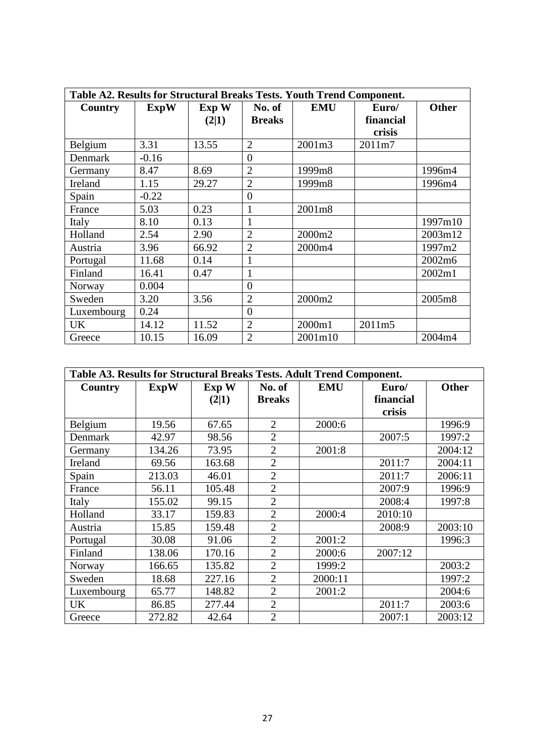| Table A2. Results for Structural Breaks Tests. Youth Trend Component. |             |       |                |            |           |                    |  |
|-----------------------------------------------------------------------|-------------|-------|----------------|------------|-----------|--------------------|--|
| Country                                                               | <b>ExpW</b> | Exp W | No. of         | <b>EMU</b> | Euro/     | <b>Other</b>       |  |
|                                                                       |             | (2 1) | <b>Breaks</b>  |            | financial |                    |  |
|                                                                       |             |       |                |            | crisis    |                    |  |
| Belgium                                                               | 3.31        | 13.55 | $\overline{2}$ | 2001m3     | 2011m7    |                    |  |
| Denmark                                                               | $-0.16$     |       | $\overline{0}$ |            |           |                    |  |
| Germany                                                               | 8.47        | 8.69  | $\overline{2}$ | 1999m8     |           | 1996m4             |  |
| Ireland                                                               | 1.15        | 29.27 | $\overline{2}$ | 1999m8     |           | 1996m4             |  |
| Spain                                                                 | $-0.22$     |       | $\overline{0}$ |            |           |                    |  |
| France                                                                | 5.03        | 0.23  | 1              | 2001m8     |           |                    |  |
| Italy                                                                 | 8.10        | 0.13  | $\mathbf{1}$   |            |           | 1997m10            |  |
| Holland                                                               | 2.54        | 2.90  | $\overline{2}$ | 2000m2     |           | 2003m12            |  |
| Austria                                                               | 3.96        | 66.92 | $\overline{2}$ | 2000m4     |           | 1997m2             |  |
| Portugal                                                              | 11.68       | 0.14  | 1              |            |           | 2002m <sub>6</sub> |  |
| Finland                                                               | 16.41       | 0.47  | $\mathbf{1}$   |            |           | 2002m1             |  |
| Norway                                                                | 0.004       |       | $\overline{0}$ |            |           |                    |  |
| Sweden                                                                | 3.20        | 3.56  | $\overline{2}$ | 2000m2     |           | 2005m8             |  |
| Luxembourg                                                            | 0.24        |       | $\overline{0}$ |            |           |                    |  |
| <b>UK</b>                                                             | 14.12       | 11.52 | $\overline{2}$ | 2000m1     | 2011m5    |                    |  |
| Greece                                                                | 10.15       | 16.09 | $\overline{2}$ | 2001m10    |           | 2004m4             |  |

| Table A3. Results for Structural Breaks Tests. Adult Trend Component. |             |                |                         |            |                              |              |  |
|-----------------------------------------------------------------------|-------------|----------------|-------------------------|------------|------------------------------|--------------|--|
| Country                                                               | <b>ExpW</b> | Exp W<br>(2 1) | No. of<br><b>Breaks</b> | <b>EMU</b> | Euro/<br>financial<br>crisis | <b>Other</b> |  |
| Belgium                                                               | 19.56       | 67.65          | $\overline{2}$          | 2000:6     |                              | 1996:9       |  |
| Denmark                                                               | 42.97       | 98.56          | $\overline{2}$          |            | 2007:5                       | 1997:2       |  |
| Germany                                                               | 134.26      | 73.95          | $\overline{2}$          | 2001:8     |                              | 2004:12      |  |
| Ireland                                                               | 69.56       | 163.68         | $\overline{2}$          |            | 2011:7                       | 2004:11      |  |
| Spain                                                                 | 213.03      | 46.01          | $\overline{2}$          |            | 2011:7                       | 2006:11      |  |
| France                                                                | 56.11       | 105.48         | $\overline{2}$          |            | 2007:9                       | 1996:9       |  |
| Italy                                                                 | 155.02      | 99.15          | $\overline{2}$          |            | 2008:4                       | 1997:8       |  |
| Holland                                                               | 33.17       | 159.83         | $\overline{2}$          | 2000:4     | 2010:10                      |              |  |
| Austria                                                               | 15.85       | 159.48         | $\overline{2}$          |            | 2008:9                       | 2003:10      |  |
| Portugal                                                              | 30.08       | 91.06          | $\overline{2}$          | 2001:2     |                              | 1996:3       |  |
| Finland                                                               | 138.06      | 170.16         | $\overline{2}$          | 2000:6     | 2007:12                      |              |  |
| Norway                                                                | 166.65      | 135.82         | $\overline{2}$          | 1999:2     |                              | 2003:2       |  |
| Sweden                                                                | 18.68       | 227.16         | $\overline{2}$          | 2000:11    |                              | 1997:2       |  |
| Luxembourg                                                            | 65.77       | 148.82         | $\overline{2}$          | 2001:2     |                              | 2004:6       |  |
| <b>UK</b>                                                             | 86.85       | 277.44         | $\overline{2}$          |            | 2011:7                       | 2003:6       |  |
| Greece                                                                | 272.82      | 42.64          | $\overline{2}$          |            | 2007:1                       | 2003:12      |  |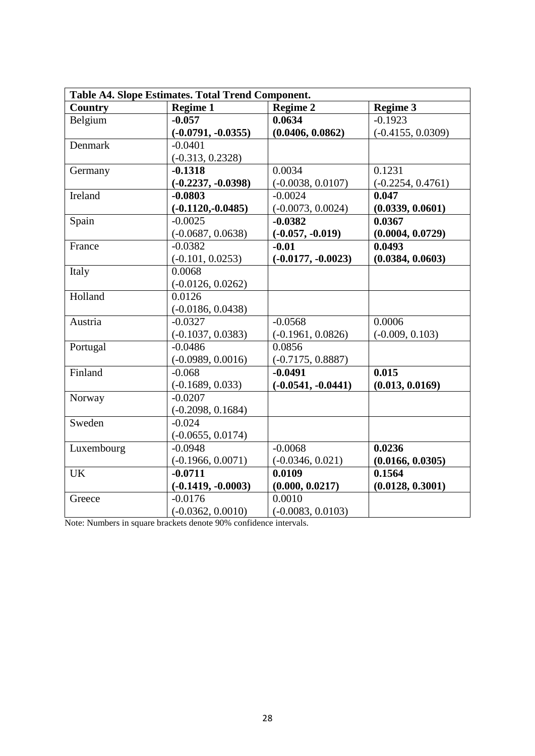| Table A4. Slope Estimates. Total Trend Component. |                      |                      |                     |  |  |  |  |
|---------------------------------------------------|----------------------|----------------------|---------------------|--|--|--|--|
| <b>Country</b>                                    | Regime 1             | <b>Regime 2</b>      | <b>Regime 3</b>     |  |  |  |  |
| Belgium                                           | $-0.057$             | 0.0634               | $-0.1923$           |  |  |  |  |
|                                                   | $(-0.0791, -0.0355)$ | (0.0406, 0.0862)     | $(-0.4155, 0.0309)$ |  |  |  |  |
| Denmark                                           | $-0.0401$            |                      |                     |  |  |  |  |
|                                                   | $(-0.313, 0.2328)$   |                      |                     |  |  |  |  |
| Germany                                           | $-0.1318$            | 0.0034               | 0.1231              |  |  |  |  |
|                                                   | $(-0.2237, -0.0398)$ | $(-0.0038, 0.0107)$  | $(-0.2254, 0.4761)$ |  |  |  |  |
| Ireland                                           | $-0.0803$            | $-0.0024$            | 0.047               |  |  |  |  |
|                                                   | $(-0.1120,-0.0485)$  | $(-0.0073, 0.0024)$  | (0.0339, 0.0601)    |  |  |  |  |
| Spain                                             | $-0.0025$            | $-0.0382$            | 0.0367              |  |  |  |  |
|                                                   | $(-0.0687, 0.0638)$  | $(-0.057, -0.019)$   | (0.0004, 0.0729)    |  |  |  |  |
| France                                            | $-0.0382$            | $-0.01$              | 0.0493              |  |  |  |  |
|                                                   | $(-0.101, 0.0253)$   | $(-0.0177, -0.0023)$ | (0.0384, 0.0603)    |  |  |  |  |
| Italy                                             | 0.0068               |                      |                     |  |  |  |  |
|                                                   | $(-0.0126, 0.0262)$  |                      |                     |  |  |  |  |
| Holland                                           | 0.0126               |                      |                     |  |  |  |  |
|                                                   | $(-0.0186, 0.0438)$  |                      |                     |  |  |  |  |
| Austria                                           | $-0.0327$            | $-0.0568$            | 0.0006              |  |  |  |  |
|                                                   | $(-0.1037, 0.0383)$  | $(-0.1961, 0.0826)$  | $(-0.009, 0.103)$   |  |  |  |  |
| Portugal                                          | $-0.0486$            | 0.0856               |                     |  |  |  |  |
|                                                   | $(-0.0989, 0.0016)$  | $(-0.7175, 0.8887)$  |                     |  |  |  |  |
| Finland                                           | $-0.068$             | $-0.0491$            | 0.015               |  |  |  |  |
|                                                   | $(-0.1689, 0.033)$   | $(-0.0541, -0.0441)$ | (0.013, 0.0169)     |  |  |  |  |
| Norway                                            | $-0.0207$            |                      |                     |  |  |  |  |
|                                                   | $(-0.2098, 0.1684)$  |                      |                     |  |  |  |  |
| Sweden                                            | $-0.024$             |                      |                     |  |  |  |  |
|                                                   | $(-0.0655, 0.0174)$  |                      |                     |  |  |  |  |
| Luxembourg                                        | $-0.0948$            | $-0.0068$            | 0.0236              |  |  |  |  |
|                                                   | $(-0.1966, 0.0071)$  | $(-0.0346, 0.021)$   | (0.0166, 0.0305)    |  |  |  |  |
| <b>UK</b>                                         | $-0.0711$            | 0.0109               | 0.1564              |  |  |  |  |
|                                                   | $(-0.1419, -0.0003)$ | (0.000, 0.0217)      | (0.0128, 0.3001)    |  |  |  |  |
| Greece                                            | $-0.0176$            | 0.0010               |                     |  |  |  |  |
|                                                   | $(-0.0362, 0.0010)$  | $(-0.0083, 0.0103)$  |                     |  |  |  |  |

Note: Numbers in square brackets denote 90% confidence intervals.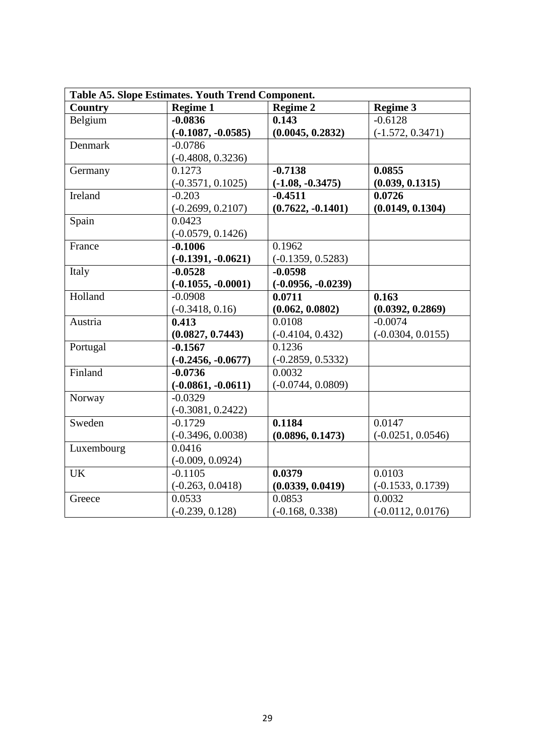| Table A5. Slope Estimates. Youth Trend Component. |                      |                      |                     |  |  |  |  |
|---------------------------------------------------|----------------------|----------------------|---------------------|--|--|--|--|
| <b>Country</b>                                    | Regime 1             | <b>Regime 2</b>      | <b>Regime 3</b>     |  |  |  |  |
| Belgium                                           | $-0.0836$            | 0.143                | $-0.6128$           |  |  |  |  |
|                                                   | $(-0.1087, -0.0585)$ | (0.0045, 0.2832)     | $(-1.572, 0.3471)$  |  |  |  |  |
| Denmark                                           | $-0.0786$            |                      |                     |  |  |  |  |
|                                                   | $(-0.4808, 0.3236)$  |                      |                     |  |  |  |  |
| Germany                                           | 0.1273               | $-0.7138$            | 0.0855              |  |  |  |  |
|                                                   | $(-0.3571, 0.1025)$  | $(-1.08, -0.3475)$   | (0.039, 0.1315)     |  |  |  |  |
| Ireland                                           | $-0.203$             | $-0.4511$            | 0.0726              |  |  |  |  |
|                                                   | $(-0.2699, 0.2107)$  | $(0.7622, -0.1401)$  | (0.0149, 0.1304)    |  |  |  |  |
| Spain                                             | 0.0423               |                      |                     |  |  |  |  |
|                                                   | $(-0.0579, 0.1426)$  |                      |                     |  |  |  |  |
| France                                            | $-0.1006$            | 0.1962               |                     |  |  |  |  |
|                                                   | $(-0.1391, -0.0621)$ | $(-0.1359, 0.5283)$  |                     |  |  |  |  |
| Italy                                             | $-0.0528$            | $-0.0598$            |                     |  |  |  |  |
|                                                   | $(-0.1055, -0.0001)$ | $(-0.0956, -0.0239)$ |                     |  |  |  |  |
| Holland                                           | $-0.0908$            | 0.0711               | 0.163               |  |  |  |  |
|                                                   | $(-0.3418, 0.16)$    | (0.062, 0.0802)      | (0.0392, 0.2869)    |  |  |  |  |
| Austria                                           | 0.413                | 0.0108               | $-0.0074$           |  |  |  |  |
|                                                   | (0.0827, 0.7443)     | $(-0.4104, 0.432)$   | $(-0.0304, 0.0155)$ |  |  |  |  |
| Portugal                                          | $-0.1567$            | 0.1236               |                     |  |  |  |  |
|                                                   | $(-0.2456, -0.0677)$ | $(-0.2859, 0.5332)$  |                     |  |  |  |  |
| Finland                                           | $-0.0736$            | 0.0032               |                     |  |  |  |  |
|                                                   | $(-0.0861, -0.0611)$ | $(-0.0744, 0.0809)$  |                     |  |  |  |  |
| Norway                                            | $-0.0329$            |                      |                     |  |  |  |  |
|                                                   | $(-0.3081, 0.2422)$  |                      |                     |  |  |  |  |
| Sweden                                            | $-0.1729$            | 0.1184               | 0.0147              |  |  |  |  |
|                                                   | $(-0.3496, 0.0038)$  | (0.0896, 0.1473)     | $(-0.0251, 0.0546)$ |  |  |  |  |
| Luxembourg                                        | 0.0416               |                      |                     |  |  |  |  |
|                                                   | $(-0.009, 0.0924)$   |                      |                     |  |  |  |  |
| <b>UK</b>                                         | $-0.1105$            | 0.0379               | 0.0103              |  |  |  |  |
|                                                   | $(-0.263, 0.0418)$   | (0.0339, 0.0419)     | $(-0.1533, 0.1739)$ |  |  |  |  |
| Greece                                            | 0.0533               | 0.0853               | 0.0032              |  |  |  |  |
|                                                   | $(-0.239, 0.128)$    | $(-0.168, 0.338)$    | $(-0.0112, 0.0176)$ |  |  |  |  |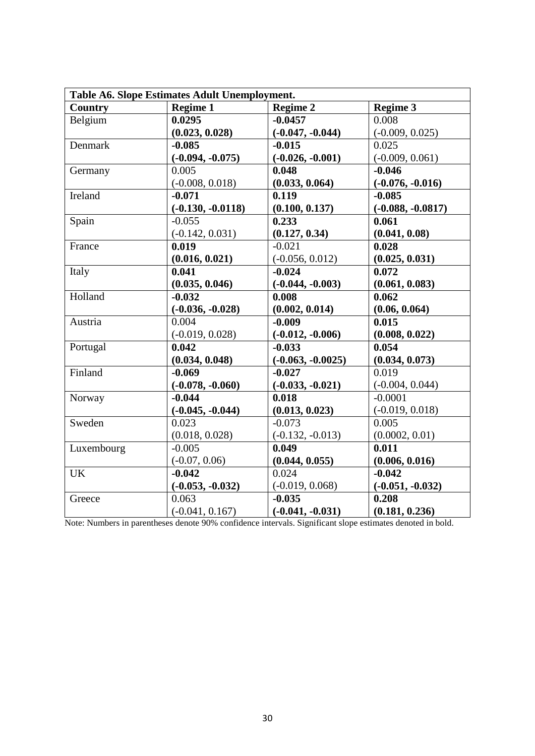|            | Table A6. Slope Estimates Adult Unemployment. |                     |                     |
|------------|-----------------------------------------------|---------------------|---------------------|
| Country    | <b>Regime 1</b>                               | <b>Regime 2</b>     | <b>Regime 3</b>     |
| Belgium    | 0.0295                                        | $-0.0457$           | 0.008               |
|            | (0.023, 0.028)                                | $(-0.047, -0.044)$  | $(-0.009, 0.025)$   |
| Denmark    | $-0.085$                                      | $-0.015$            | 0.025               |
|            | $(-0.094, -0.075)$                            | $(-0.026, -0.001)$  | $(-0.009, 0.061)$   |
| Germany    | 0.005                                         | 0.048               | $-0.046$            |
|            | $(-0.008, 0.018)$                             | (0.033, 0.064)      | $(-0.076, -0.016)$  |
| Ireland    | $-0.071$                                      | 0.119               | $-0.085$            |
|            | $(-0.130, -0.0118)$                           | (0.100, 0.137)      | $(-0.088, -0.0817)$ |
| Spain      | $-0.055$                                      | 0.233               | 0.061               |
|            | $(-0.142, 0.031)$                             | (0.127, 0.34)       | (0.041, 0.08)       |
| France     | 0.019                                         | $-0.021$            | 0.028               |
|            | (0.016, 0.021)                                | $(-0.056, 0.012)$   | (0.025, 0.031)      |
| Italy      | 0.041                                         | $-0.024$            | 0.072               |
|            | (0.035, 0.046)                                | $(-0.044, -0.003)$  | (0.061, 0.083)      |
| Holland    | $-0.032$                                      | 0.008               | 0.062               |
|            | $(-0.036, -0.028)$                            | (0.002, 0.014)      | (0.06, 0.064)       |
| Austria    | 0.004                                         | $-0.009$            | 0.015               |
|            | $(-0.019, 0.028)$                             | $(-0.012, -0.006)$  | (0.008, 0.022)      |
| Portugal   | 0.042                                         | $-0.033$            | 0.054               |
|            | (0.034, 0.048)                                | $(-0.063, -0.0025)$ | (0.034, 0.073)      |
| Finland    | $-0.069$                                      | $-0.027$            | 0.019               |
|            | $(-0.078, -0.060)$                            | $(-0.033, -0.021)$  | $(-0.004, 0.044)$   |
| Norway     | $-0.044$                                      | 0.018               | $-0.0001$           |
|            | $(-0.045, -0.044)$                            | (0.013, 0.023)      | $(-0.019, 0.018)$   |
| Sweden     | 0.023                                         | $-0.073$            | 0.005               |
|            | (0.018, 0.028)                                | $(-0.132, -0.013)$  | (0.0002, 0.01)      |
| Luxembourg | $-0.005$                                      | 0.049               | 0.011               |
|            | $(-0.07, 0.06)$                               | (0.044, 0.055)      | (0.006, 0.016)      |
| <b>UK</b>  | $-0.042$                                      | 0.024               | $-0.042$            |
|            | $(-0.053, -0.032)$                            | $(-0.019, 0.068)$   | $(-0.051, -0.032)$  |
| Greece     | 0.063                                         | $-0.035$            | 0.208               |
|            | $(-0.041, 0.167)$                             | $(-0.041, -0.031)$  | (0.181, 0.236)      |

Note: Numbers in parentheses denote 90% confidence intervals. Significant slope estimates denoted in bold.